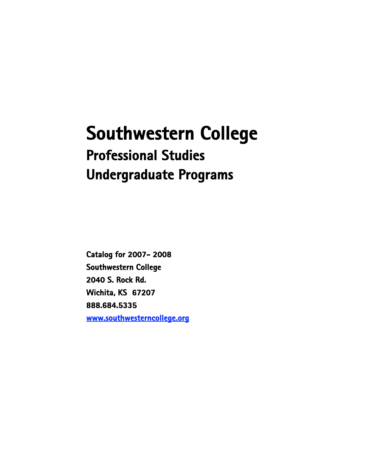# **Southwestern College Professional Studies Undergraduate Programs**

**Catalog for 2007- 2008 Southwestern College 2040 S. Rock Rd. Wichita, KS 67207 888.684.5335 www.southwesterncollege.org**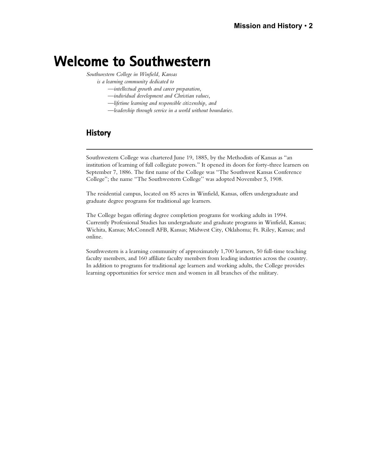## **Welcome to Southwestern**

*Southwestern College in Winfield, Kansas*

*is a learning community dedicated to*

- *—intellectual growth and career preparation,*
- *—individual development and Christian values,*
- *—lifetime learning and responsible citizenship, and*
- *—leadership through service in a world without boundaries.*

## **History**

Southwestern College was chartered June 19, 1885, by the Methodists of Kansas as "an institution of learning of full collegiate powers." It opened its doors for forty-three learners on September 7, 1886. The first name of the College was "The Southwest Kansas Conference College"; the name "The Southwestern College'' was adopted November 5, 1908.

The residential campus, located on 85 acres in Winfield, Kansas, offers undergraduate and graduate degree programs for traditional age learners.

The College began offering degree completion programs for working adults in 1994. Currently Professional Studies has undergraduate and graduate programs in Winfield, Kansas; Wichita, Kansas; McConnell AFB, Kansas; Midwest City, Oklahoma; Ft. Riley, Kansas; and online.

Southwestern is a learning community of approximately 1,700 learners, 50 full-time teaching faculty members, and 160 affiliate faculty members from leading industries across the country. In addition to programs for traditional age learners and working adults, the College provides learning opportunities for service men and women in all branches of the military.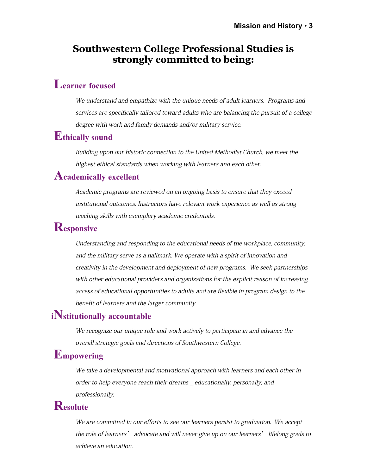## **Southwestern College Professional Studies is strongly committed to being:**

## **Learner focused**

We understand and empathize with the unique needs of adult learners. Programs and services are specifically tailored toward adults who are balancing the pursuit of a college degree with work and family demands and/or military service.

## **Ethically sound**

Building upon our historic connection to the United Methodist Church, we meet the highest ethical standards when working with learners and each other.

## **Academically excellent**

Academic programs are reviewed on an ongoing basis to ensure that they exceed institutional outcomes. Instructors have relevant work experience as well as strong teaching skills with exemplary academic credentials.

## **Responsive**

Understanding and responding to the educational needs of the workplace, community, and the military serve as a hallmark. We operate with a spirit of innovation and creativity in the development and deployment of new programs. We seek partnerships with other educational providers and organizations for the explicit reason of increasing access of educational opportunities to adults and are flexible in program design to the benefit of learners and the larger community.

## **iNstitutionally accountable**

We recognize our unique role and work actively to participate in and advance the overall strategic goals and directions of Southwestern College.

## **Empowering**

We take a developmental and motivational approach with learners and each other in order to help everyone reach their dreams \_ educationally, personally, and professionally.

## **Resolute**

We are committed in our efforts to see our learners persist to graduation. We accept the role of learners' advocate and will never give up on our learners' lifelong goals to achieve an education.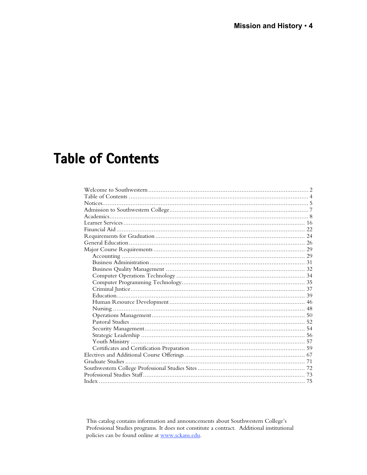# **Table of Contents**

This catalog contains information and announcements about Southwestern College's Professional Studies programs. It does not constitute a contract. Additional institutional policies can be found online at www.sckans.edu.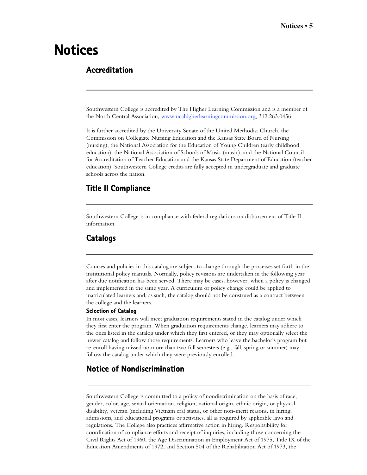# **Notices**

## **Accreditation**

Southwestern College is accredited by The Higher Learning Commission and is a member of the North Central Association, www.ncahigherlearningcommission.org , 312.263.0456.

It is further accredited by the University Senate of the United Methodist Church, the Commission on Collegiate Nursing Education and the Kansas State Board of Nursing (nursing), the National Association for the Education of Young Children (early childhood education), the National Association of Schools of Music (music), and the National Council for Accreditation of Teacher Education and the Kansas State Department of Education (teacher education). Southwestern College credits are fully accepted in undergraduate and graduate schools across the nation.

## **Title II Compliance**

Southwestern College is in compliance with federal regulations on disbursement of Title II information.

### **Catalogs**

Courses and policies in this catalog are subject to change through the processes set forth in the institutional policy manuals. Normally, policy revisions are undertaken in the following year after due notification has been served. There may be cases, however, when a policy is changed and implemented in the same year. A curriculum or policy change could be applied to matriculated learners and, as such, the catalog should not be construed as a contract between the college and the learners.

#### **Selection of Catalog**

In most cases, learners will meet graduation requirements stated in the catalog under which they first enter the program. When graduation requirements change, learners may adhere to the ones listed in the catalog under which they first entered, or they may optionally select the newer catalog and follow those requirements. Learners who leave the bachelor's program but re-enroll having missed no more than two full semesters (e.g., fall, spring or summer) may follow the catalog under which they were previously enrolled.

## **Notice of Nondiscrimination**

Southwestern College is committed to a policy of nondiscrimination on the basis of race, gender, color, age, sexual orientation, religion, national origin, ethnic origin, or physical disability, veteran (including Vietnam era) status, or other non-merit reasons, in hiring, admissions, and educational programs or activities, all as required by applicable laws and regulations. The College also practices affirmative action in hiring. Responsibility for coordination of compliance efforts and receipt of inquiries, including those concerning the Civil Rights Act of 1960, the Age Discrimination in Employment Act of 1975, Title IX of the Education Amendments of 1972, and Section 504 of the Rehabilitation Act of 1973, the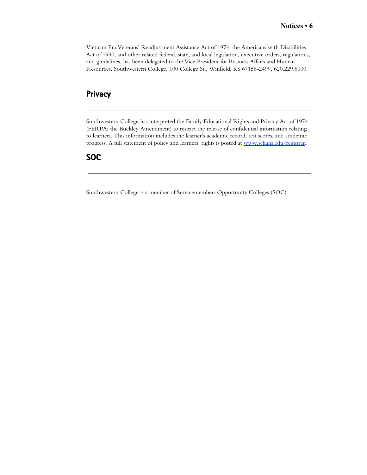Vietnam Era Veterans' Readjustment Assistance Act of 1974, the Americans with Disabilities Act of 1990, and other related federal, state, and local legislation, executive orders, regulations, and guidelines, has been delegated to the Vice President for Business Affairs and Human Resources, Southwestern College, 100 College St., Winfield, KS 67156-2499, 620.229.6000.

## **Privacy**

Southwestern College has interpreted the Family Educational Rights and Privacy Act of 1974 (FERPA; the Buckley Amendment) to restrict the release of confidential information relating to learners. This information includes the learner's academic record, test scores, and academic progress. A full statement of policy and learners' rights is posted at www.sckans.edu/registrar.

### **SOC**

Southwestern College is a member of Servicemembers Opportunity Colleges (SOC).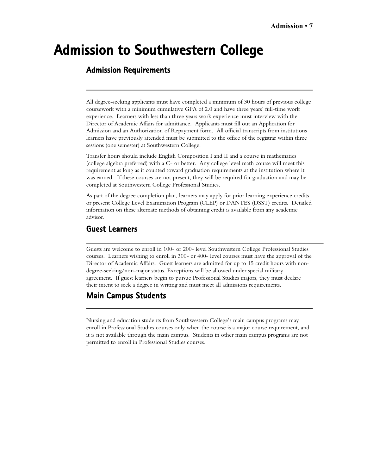# **Admission to Southwestern College**

## **Admission Requirements**

All degree-seeking applicants must have completed a minimum of 30 hours of previous college coursework with a minimum cumulative GPA of 2.0 and have three years' full-time work experience. Learners with less than three years work experience must interview with the Director of Academic Affairs for admittance. Applicants must fill out an Application for Admission and an Authorization of Repayment form. All official transcripts from institutions learners have previously attended must be submitted to the office of the registrar within three sessions (one semester) at Southwestern College.

Transfer hours should include English Composition I and II and a course in mathematics (college algebra preferred) with a C- or better. Any college level math course will meet this requirement as long as it counted toward graduation requirements at the institution where it was earned. If these courses are not present, they will be required for graduation and may be completed at Southwestern College Professional Studies.

As part of the degree completion plan, learners may apply for prior learning experience credits or present College Level Examination Program (CLEP) or DANTES (DSST) credits. Detailed information on these alternate methods of obtaining credit is available from any academic advisor.

### **Guest Learners**

Guests are welcome to enroll in 100- or 200- level Southwestern College Professional Studies courses. Learners wishing to enroll in 300- or 400- level courses must have the approval of the Director of Academic Affairs. Guest learners are admitted for up to 15 credit hours with nondegree-seeking/non-major status. Exceptions will be allowed under special military agreement. If guest learners begin to pursue Professional Studies majors, they must declare their intent to seek a degree in writing and must meet all admissions requirements.

## **Main Campus Students**

Nursing and education students from Southwestern College's main campus programs may enroll in Professional Studies courses only when the course is a major course requirement, and it is not available through the main campus. Students in other main campus programs are not permitted to enroll in Professional Studies courses.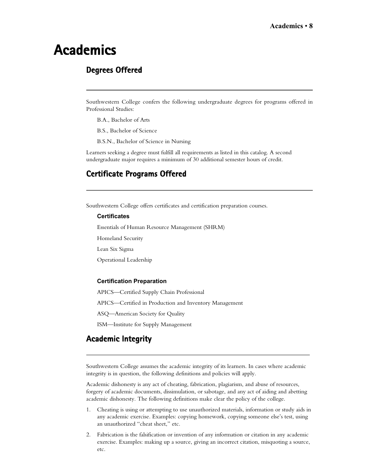# **Academics**

## **Degrees Offered**

Southwestern College confers the following undergraduate degrees for programs offered in Professional Studies:

- B.A., Bachelor of Arts
- B.S., Bachelor of Science
- B.S.N., Bachelor of Science in Nursing

Learners seeking a degree must fulfill all requirements as listed in this catalog. A second undergraduate major requires a minimum of 30 additional semester hours of credit.

## **Certificate Programs Offered**

Southwestern College offers certificates and certification preparation courses.

#### **Certificates**

Essentials of Human Resource Management (SHRM)

Homeland Security

Lean Six Sigma

Operational Leadership

#### **Certification Preparation**

APICS—Certified Supply Chain Professional

APICS—Certified in Production and Inventory Management

ASQ—American Society for Quality

ISM—Institute for Supply Management

## **Academic Integrity**

Southwestern College assumes the academic integrity of its learners. In cases where academic integrity is in question, the following definitions and policies will apply.

Academic dishonesty is any act of cheating, fabrication, plagiarism, and abuse of resources, forgery of academic documents, dissimulation, or sabotage, and any act of aiding and abetting academic dishonesty. The following definitions make clear the policy of the college.

- 1. Cheating is using or attempting to use unauthorized materials, information or study aids in any academic exercise. Examples: copying homework, copying someone else's test, using an unauthorized "cheat sheet," etc.
- 2. Fabrication is the falsification or invention of any information or citation in any academic exercise. Examples: making up a source, giving an incorrect citation, misquoting a source, etc.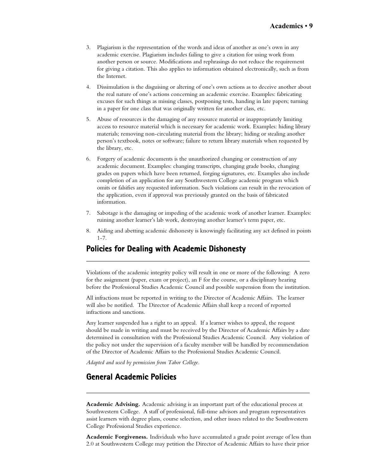- 3. Plagiarism is the representation of the words and ideas of another as one's own in any academic exercise. Plagiarism includes failing to give a citation for using work from another person or source. Modifications and rephrasings do not reduce the requirement for giving a citation. This also applies to information obtained electronically, such as from the Internet.
- 4. Dissimulation is the disguising or altering of one's own actions as to deceive another about the real nature of one's actions concerning an academic exercise. Examples: fabricating excuses for such things as missing classes, postponing tests, handing in late papers; turning in a paper for one class that was originally written for another class, etc.
- 5. Abuse of resources is the damaging of any resource material or inappropriately limiting access to resource material which is necessary for academic work. Examples: hiding library materials; removing non-circulating material from the library; hiding or stealing another person's textbook, notes or software; failure to return library materials when requested by the library, etc.
- 6. Forgery of academic documents is the unauthorized changing or construction of any academic document. Examples: changing transcripts, changing grade books, changing grades on papers which have been returned, forging signatures, etc. Examples also include completion of an application for any Southwestern College academic program which omits or falsifies any requested information. Such violations can result in the revocation of the application, even if approval was previously granted on the basis of fabricated information.
- 7. Sabotage is the damaging or impeding of the academic work of another learner. Examples: ruining another learner's lab work, destroying another learner's term paper, etc.
- 8. Aiding and abetting academic dishonesty is knowingly facilitating any act defined in points  $1 - 7$ .

## **Policies for Dealing with Academic Dishonesty**

Violations of the academic integrity policy will result in one or more of the following: A zero for the assignment (paper, exam or project), an F for the course, or a disciplinary hearing before the Professional Studies Academic Council and possible suspension from the institution.

All infractions must be reported in writing to the Director of Academic Affairs. The learner will also be notified. The Director of Academic Affairs shall keep a record of reported infractions and sanctions.

Any learner suspended has a right to an appeal. If a learner wishes to appeal, the request should be made in writing and must be received by the Director of Academic Affairs by a date determined in consultation with the Professional Studies Academic Council. Any violation of the policy not under the supervision of a faculty member will be handled by recommendation of the Director of Academic Affairs to the Professional Studies Academic Council.

*Adapted and used by permission from Tabor College.*

### **General Academic Policies**

**Academic Advising.** Academic advising is an important part of the educational process at Southwestern College. A staff of professional, full-time advisors and program representatives assist learners with degree plans, course selection, and other issues related to the Southwestern College Professional Studies experience.

**Academic Forgiveness.** Individuals who have accumulated a grade point average of less than 2.0 at Southwestern College may petition the Director of Academic Affairs to have their prior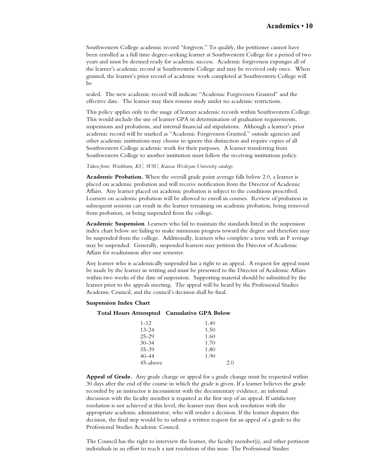Southwestern College academic record "forgiven." To qualify, the petitioner cannot have been enrolled as a full time degree-seeking learner at Southwestern College for a period of two years and must be deemed ready for academic success. Academic forgiveness expunges all of the learner's academic record at Southwestern College and may be received only once. When granted, the learner's prior record of academic work completed at Southwestern College will be

sealed. The new academic record will indicate "Academic Forgiveness Granted" and the effective date. The learner may then resume study under no academic restrictions.

This policy applies only to the usage of learner academic records within Southwestern College. This would include the use of learner GPA in determination of graduation requirements, suspensions and probations, and internal financial aid stipulations. Although a learner's prior academic record will be marked as "Academic Forgiveness Granted," outside agencies and other academic institutions may choose to ignore this distinction and require copies of all Southwestern College academic work for their purposes. A learner transferring from Southwestern College to another institution must follow the receiving institutions policy.

*Taken from: Washburn, KU, WSU, Kansas Wesleyan University catalogs.*

**Academic Probation.** When the overall grade point average falls below 2.0, a learner is placed on academic probation and will receive notification from the Director of Academic Affairs. Any learner placed on academic probation is subject to the conditions prescribed. Learners on academic probation will be allowed to enroll in courses. Review of probation in subsequent sessions can result in the learner remaining on academic probation, being removed from probation, or being suspended from the college.

**Academic Suspension**. Learners who fail to maintain the standards listed in the suspension index chart below are failing to make minimum progress toward the degree and therefore may be suspended from the college. Additionally, learners who complete a term with an F average may be suspended. Generally, suspended learners may petition the Director of Academic Affairs for readmission after one semester.

Any learner who is academically suspended has a right to an appeal. A request for appeal must be made by the learner in writing and must be presented to the Director of Academic Affairs within two weeks of the date of suspension. Supporting material should be submitted by the learner prior to the appeals meeting. The appeal will be heard by the Professional Studies Academic Council, and the council's decision shall be final.

#### **Suspension Index Chart**

#### **Total Hours Attempted Cumulative GPA Below**

| $1 - 12$  | 1.40 |
|-----------|------|
| $13 - 24$ | 1.50 |
| $25 - 29$ | 1.60 |
| $30 - 34$ | 1.70 |
| $35 - 39$ | 1.80 |
| $40 - 44$ | 1.90 |
| 45-above  | 2.0  |

**Appeal of Grade.** Any grade change or appeal for a grade change must be requested within 30 days after the end of the course in which the grade is given. If a learner believes the grade recorded by an instructor is inconsistent with the documentary evidence, an informal discussion with the faculty member is required as the first step of an appeal. If satisfactory resolution is not achieved at this level, the learner may then seek resolution with the appropriate academic administrator, who will render a decision. If the learner disputes this decision, the final step would be to submit a written request for an appeal of a grade to the Professional Studies Academic Council.

The Council has the right to interview the learner, the faculty member(s), and other pertinent individuals in an effort to reach a just resolution of this issue. The Professional Studies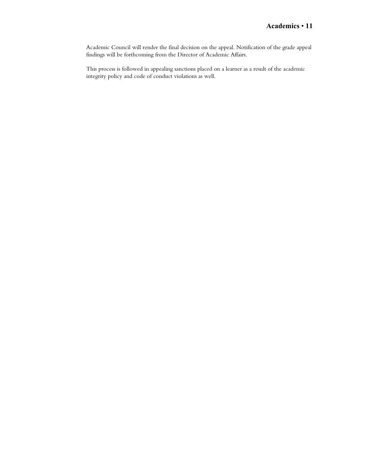Academic Council will render the final decision on the appeal. Notification of the grade appeal findings will be forthcoming from the Director of Academic Affairs.

This process is followed in appealing sanctions placed on a learner as a result of the academic integrity policy and code of conduct violations as well.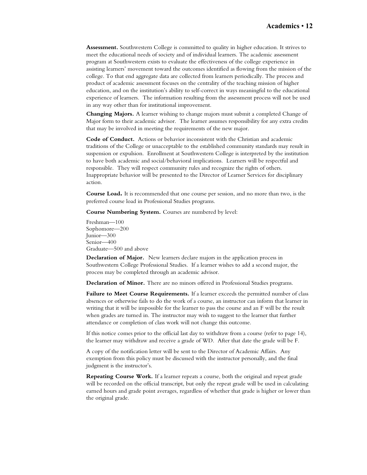**Assessment.** Southwestern College is committed to quality in higher education. It strives to meet the educational needs of society and of individual learners. The academic assessment program at Southwestern exists to evaluate the effectiveness of the college experience in assisting learners' movement toward the outcomes identified as flowing from the mission of the college. To that end aggregate data are collected from learners periodically. The process and product of academic assessment focuses on the centrality of the teaching mission of higher education, and on the institution's ability to self-correct in ways meaningful to the educational experience of learners. The information resulting from the assessment process will not be used in any way other than for institutional improvement.

**Changing Majors.** A learner wishing to change majors must submit a completed Change of Major form to their academic advisor. The learner assumes responsibility for any extra credits that may be involved in meeting the requirements of the new major.

**Code of Conduct.** Actions or behavior inconsistent with the Christian and academic traditions of the College or unacceptable to the established community standards may result in suspension or expulsion. Enrollment at Southwestern College is interpreted by the institution to have both academic and social/behavioral implications. Learners will be respectful and responsible. They will respect community rules and recognize the rights of others. Inappropriate behavior will be presented to the Director of Learner Services for disciplinary action.

**Course Load.** It is recommended that one course per session, and no more than two, is the preferred course load in Professional Studies programs.

**Course Numbering System.** Courses are numbered by level:

Freshman—100 Sophomore—200 Junior—300 Senior—400 Graduate—500 and above

**Declaration of Major.** New learners declare majors in the application process in Southwestern College Professional Studies. If a learner wishes to add a second major, the process may be completed through an academic advisor.

**Declaration of Minor.** There are no minors offered in Professional Studies programs.

**Failure to Meet Course Requirements.** If a learner exceeds the permitted number of class absences or otherwise fails to do the work of a course, an instructor can inform that learner in writing that it will be impossible for the learner to pass the course and an F will be the result when grades are turned in. The instructor may wish to suggest to the learner that further attendance or completion of class work will not change this outcome.

If this notice comes prior to the official last day to withdraw from a course (refer to page 14), the learner may withdraw and receive a grade of WD. After that date the grade will be F.

A copy of the notification letter will be sent to the Director of Academic Affairs. Any exemption from this policy must be discussed with the instructor personally, and the final judgment is the instructor's.

**Repeating Course Work.** If a learner repeats a course, both the original and repeat grade will be recorded on the official transcript, but only the repeat grade will be used in calculating earned hours and grade point averages, regardless of whether that grade is higher or lower than the original grade.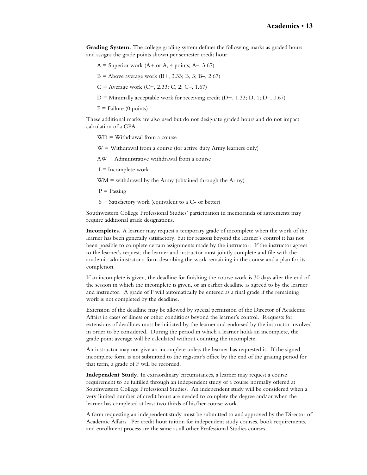**Grading System.** The college grading system defines the following marks as graded hours and assigns the grade points shown per semester credit hour:

- $A =$  Superior work (A+ or A, 4 points; A–, 3.67)
- $B =$  Above average work  $(B+, 3.33; B, 3; B-, 2.67)$
- $C =$  Average work  $(C+, 2.33; C, 2; C-, 1.67)$
- $D =$  Minimally acceptable work for receiving credit ( $D+$ , 1.33; D, 1; D–, 0.67)
- $F =$  Failure (0 points)

These additional marks are also used but do not designate graded hours and do not impact calculation of a GPA:

WD = Withdrawal from a course

 $W =$  Withdrawal from a course (for active duty Army learners only)

AW = Administrative withdrawal from a course

 $I = Incomplete work$ 

 $WM =$  withdrawal by the Army (obtained through the Army)

 $P =$  Passing

 $S =$  Satisfactory work (equivalent to a  $C$ - or better)

Southwestern College Professional Studies' participation in memoranda of agreements may require additional grade designations.

**Incompletes.** A learner may request a temporary grade of incomplete when the work of the learner has been generally satisfactory, but for reasons beyond the learner's control it has not been possible to complete certain assignments made by the instructor. If the instructor agrees to the learner's request, the learner and instructor must jointly complete and file with the academic administrator a form describing the work remaining in the course and a plan for its completion.

If an incomplete is given, the deadline for finishing the course work is 30 days after the end of the session in which the incomplete is given, or an earlier deadline as agreed to by the learner and instructor. A grade of F will automatically be entered as a final grade if the remaining work is not completed by the deadline.

Extension of the deadline may be allowed by special permission of the Director of Academic Affairs in cases of illness or other conditions beyond the learner's control. Requests for extensions of deadlines must be initiated by the learner and endorsed by the instructor involved in order to be considered. During the period in which a learner holds an incomplete, the grade point average will be calculated without counting the incomplete.

An instructor may not give an incomplete unless the learner has requested it. If the signed incomplete form is not submitted to the registrar's office by the end of the grading period for that term, a grade of F will be recorded.

**Independent Study.** In extraordinary circumstances, a learner may request a course requirement to be fulfilled through an independent study of a course normally offered at Southwestern College Professional Studies. An independent study will be considered when a very limited number of credit hours are needed to complete the degree and/or when the learner has completed at least two thirds of his/her course work.

A form requesting an independent study must be submitted to and approved by the Director of Academic Affairs. Per credit hour tuition for independent study courses, book requirements, and enrollment process are the same as all other Professional Studies courses.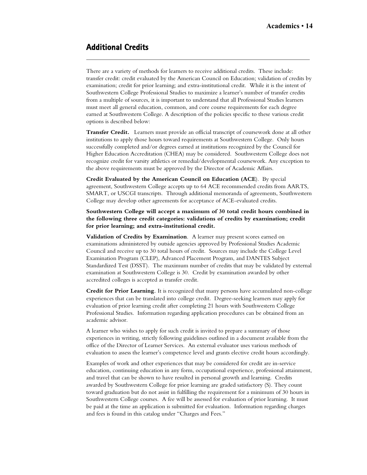## **Additional Credits**

There are a variety of methods for learners to receive additional credits. These include: transfer credit: credit evaluated by the American Council on Education; validation of credits by examination; credit for prior learning; and extra-institutional credit. While it is the intent of Southwestern College Professional Studies to maximize a learner's number of transfer credits from a multiple of sources, it is important to understand that all Professional Studies learners must meet all general education, common, and core course requirements for each degree earned at Southwestern College. A description of the policies specific to these various credit options is described below:

**Transfer Credit.** Learners must provide an official transcript of coursework done at all other institutions to apply those hours toward requirements at Southwestern College. Only hours successfully completed and/or degrees earned at institutions recognized by the Council for Higher Education Accreditation (CHEA) may be considered. Southwestern College does not recognize credit for varsity athletics or remedial/developmental coursework. Any exception to the above requirements must be approved by the Director of Academic Affairs.

**Credit Evaluated by the American Council on Education (ACE**). By special agreement, Southwestern College accepts up to 64 ACE recommended credits from AARTS, SMART, or USCGI transcripts. Through additional memoranda of agreements, Southwestern College may develop other agreements for acceptance of ACE-evaluated credits.

**Southwestern College will accept a maximum of 30 total credit hours combined in the following three credit categories: validations of credits by examination; credit for prior learning; and extra-institutional credit.**

**Validation of Credits by Examination**. A learner may present scores earned on examinations administered by outside agencies approved by Professional Studies Academic Council and receive up to 30 total hours of credit. Sources may include the College Level Examination Program (CLEP), Advanced Placement Program, and DANTES Subject Standardized Test (DSST). The maximum number of credits that may be validated by external examination at Southwestern College is 30. Credit by examination awarded by other accredited colleges is accepted as transfer credit.

**Credit for Prior Learning**. It is recognized that many persons have accumulated non-college experiences that can be translated into college credit. Degree-seeking learners may apply for evaluation of prior learning credit after completing 21 hours with Southwestern College Professional Studies. Information regarding application procedures can be obtained from an academic advisor.

A learner who wishes to apply for such credit is invited to prepare a summary of those experiences in writing, strictly following guidelines outlined in a document available from the office of the Director of Learner Services. An external evaluator uses various methods of evaluation to assess the learner's competence level and grants elective credit hours accordingly.

Examples of work and other experiences that may be considered for credit are in-service education, continuing education in any form, occupational experience, professional attainment, and travel that can be shown to have resulted in personal growth and learning. Credits awarded by Southwestern College for prior learning are graded satisfactory (S). They count toward graduation but do not assist in fulfilling the requirement for a minimum of 30 hours in Southwestern College courses. A fee will be assessed for evaluation of prior learning. It must be paid at the time an application is submitted for evaluation. Information regarding charges and fees is found in this catalog under "Charges and Fees."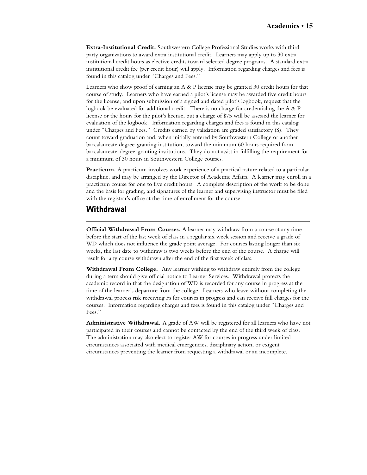**Extra-Institutional Credit.** Southwestern College Professional Studies works with third party organizations to award extra institutional credit. Learners may apply up to 30 extra institutional credit hours as elective credits toward selected degree programs. A standard extra institutional credit fee (per credit hour) will apply. Information regarding charges and fees is found in this catalog under "Charges and Fees."

Learners who show proof of earning an  $A \& P$  license may be granted 30 credit hours for that course of study. Learners who have earned a pilot's license may be awarded five credit hours for the license, and upon submission of a signed and dated pilot's logbook, request that the logbook be evaluated for additional credit. There is no charge for credentialing the A & P license or the hours for the pilot's license, but a charge of \$75 will be assessed the learner for evaluation of the logbook. Information regarding charges and fees is found in this catalog under "Charges and Fees." Credits earned by validation are graded satisfactory (S). They count toward graduation and, when initially entered by Southwestern College or another baccalaureate degree-granting institution, toward the minimum 60 hours required from baccalaureate-degree-granting institutions. They do not assist in fulfilling the requirement for a minimum of 30 hours in Southwestern College courses.

**Practicum.** A practicum involves work experience of a practical nature related to a particular discipline, and may be arranged by the Director of Academic Affairs. A learner may enroll in a practicum course for one to five credit hours. A complete description of the work to be done and the basis for grading, and signatures of the learner and supervising instructor must be filed with the registrar's office at the time of enrollment for the course.

## **Withdrawal**

**Official Withdrawal From Courses.** A learner may withdraw from a course at any time before the start of the last week of class in a regular six week session and receive a grade of WD which does not influence the grade point average. For courses lasting longer than six weeks, the last date to withdraw is two weeks before the end of the course. A charge will result for any course withdrawn after the end of the first week of class.

**Withdrawal From College.** Any learner wishing to withdraw entirely from the college during a term should give official notice to Learner Services. Withdrawal protects the academic record in that the designation of WD is recorded for any course in progress at the time of the learner's departure from the college. Learners who leave without completing the withdrawal process risk receiving Fs for courses in progress and can receive full charges for the courses. Information regarding charges and fees is found in this catalog under "Charges and Fees."

**Administrative Withdrawal.** A grade of AW will be registered for all learners who have not participated in their courses and cannot be contacted by the end of the third week of class. The administration may also elect to register AW for courses in progress under limited circumstances associated with medical emergencies, disciplinary action, or exigent circumstances preventing the learner from requesting a withdrawal or an incomplete.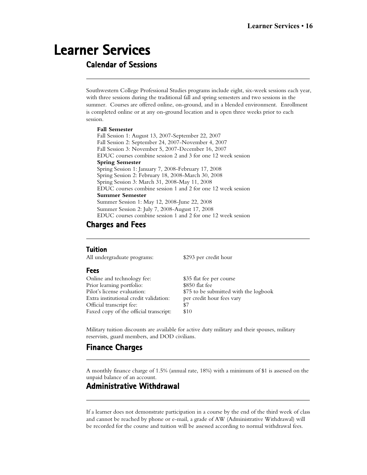# **Learner Services**

## **Calendar of Sessions**

Southwestern College Professional Studies programs include eight, six-week sessions each year, with three sessions during the traditional fall and spring semesters and two sessions in the summer. Courses are offered online, on-ground, and in a blended environment. Enrollment is completed online or at any on-ground location and is open three weeks prior to each session.

#### **Fall Semester**

Fall Session 1: August 13, 2007-September 22, 2007 Fall Session 2: September 24, 2007-November 4, 2007 Fall Session 3: November 5, 2007-December 16, 2007 EDUC courses combine session 2 and 3 for one 12 week session **Spring Semester** Spring Session 1: January 7, 2008-February 17, 2008 Spring Session 2: February 18, 2008-March 30, 2008 Spring Session 3: March 31, 2008-May 11, 2008 EDUC courses combine session 1 and 2 for one 12 week session **Summer Semester** Summer Session 1: May 12, 2008-June 22, 2008 Summer Session 2: July 7, 2008-August 17, 2008 EDUC courses combine session 1 and 2 for one 12 week session

### **Charges and Fees**

#### **Tuition**

All undergraduate programs: \$293 per credit hour

#### **Fees**

| Online and technology fee:             | \$35 flat fee per course              |
|----------------------------------------|---------------------------------------|
| Prior learning portfolio:              | \$850 flat fee                        |
| Pilot's license evaluation:            | \$75 to be submitted with the logbook |
| Extra institutional credit validation: | per credit hour fees vary             |
| Official transcript fee:               | \$7                                   |
| Faxed copy of the official transcript: | \$10                                  |

Military tuition discounts are available for active duty military and their spouses, military reservists, guard members, and DOD civilians.

## **Finance Charges**

A monthly finance charge of 1.5% (annual rate, 18%) with a minimum of \$1 is assessed on the unpaid balance of an account.

## **Administrative Withdrawal**

If a learner does not demonstrate participation in a course by the end of the third week of class and cannot be reached by phone or e-mail, a grade of AW (Administrative Withdrawal) will be recorded for the course and tuition will be assessed according to normal withdrawal fees.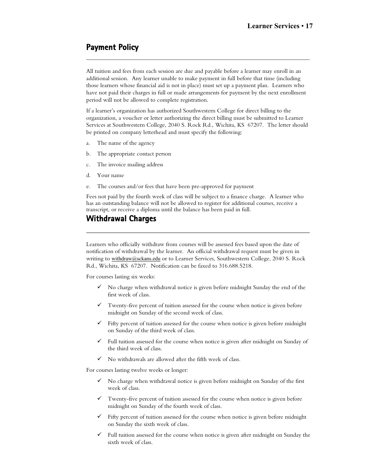## **Payment Policy**

All tuition and fees from each session are due and payable before a learner may enroll in an additional session. Any learner unable to make payment in full before that time (including those learners whose financial aid is not in place) must set up a payment plan. Learners who have not paid their charges in full or made arrangements for payment by the next enrollment period will not be allowed to complete registration.

If a learner's organization has authorized Southwestern College for direct billing to the organization, a voucher or letter authorizing the direct billing must be submitted to Learner Services at Southwestern College, 2040 S. Rock Rd., Wichita, KS 67207. The letter should be printed on company letterhead and must specify the following:

- a. The name of the agency
- b. The appropriate contact person
- c. The invoice mailing address
- d. Your name
- e. The courses and/or fees that have been pre-approved for payment

Fees not paid by the fourth week of class will be subject to a finance charge. A learner who has an outstanding balance will not be allowed to register for additional courses, receive a transcript, or receive a diploma until the balance has been paid in full.

## **Withdrawal Charges**

Learners who officially withdraw from courses will be assessed fees based upon the date of notification of withdrawal by the learner. An official withdrawal request must be given in writing to withdraw@sckans.edu or to Learner Services, Southwestern College, 2040 S. Rock Rd., Wichita, KS 67207. Notification can be faxed to 316.688.5218.

For courses lasting six weeks:

- $\checkmark$  No charge when withdrawal notice is given before midnight Sunday the end of the first week of class.
- $\checkmark$  Twenty-five percent of tuition assessed for the course when notice is given before midnight on Sunday of the second week of class.
- $\checkmark$  Fifty percent of tuition assessed for the course when notice is given before midnight on Sunday of the third week of class.
- $\checkmark$  Full tuition assessed for the course when notice is given after midnight on Sunday of the third week of class.
- $\checkmark$  No withdrawals are allowed after the fifth week of class.

For courses lasting twelve weeks or longer:

- $\checkmark$  No charge when withdrawal notice is given before midnight on Sunday of the first week of class.
- $\checkmark$  Twenty-five percent of tuition assessed for the course when notice is given before midnight on Sunday of the fourth week of class.
- $\checkmark$  Fifty percent of tuition assessed for the course when notice is given before midnight on Sunday the sixth week of class.
- $\checkmark$  Full tuition assessed for the course when notice is given after midnight on Sunday the sixth week of class.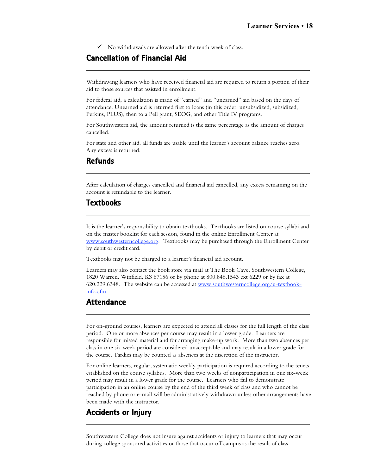$\checkmark$  No withdrawals are allowed after the tenth week of class.

## **Cancellation of Financial Aid**

Withdrawing learners who have received financial aid are required to return a portion of their aid to those sources that assisted in enrollment.

For federal aid, a calculation is made of "earned" and "unearned" aid based on the days of attendance. Unearned aid is returned first to loans (in this order: unsubsidized, subsidized, Perkins, PLUS), then to a Pell grant, SEOG, and other Title IV programs.

For Southwestern aid, the amount returned is the same percentage as the amount of charges cancelled.

For state and other aid, all funds are usable until the learner's account balance reaches zero. Any excess is returned.

### **Refunds**

After calculation of charges cancelled and financial aid cancelled, any excess remaining on the account is refundable to the learner.

### **Textbooks**

It is the learner's responsibility to obtain textbooks. Textbooks are listed on course syllabi and on the master booklist for each session, found in the online Enrollment Center at www.southwesterncollege.org. Textbooks may be purchased through the Enrollment Center by debit or credit card.

Textbooks may not be charged to a learner's financial aid account.

Learners may also contact the book store via mail at The Book Cave, Southwestern College, 1820 Warren, Winfield, KS 67156 or by phone at 800.846.1543 ext 6229 or by fax at 620.229.6348. The website can be accessed at www.southwesterncollege.org/u-textbookinfo.cfm .

### **Attendance**

For on-ground courses, learners are expected to attend all classes for the full length of the class period. One or more absences per course may result in a lower grade. Learners are responsible for missed material and for arranging make-up work. More than two absences per class in one six week period are considered unacceptable and may result in a lower grade for the course. Tardies may be counted as absences at the discretion of the instructor.

For online learners, regular, systematic weekly participation is required according to the tenets established on the course syllabus. More than two weeks of nonparticipation in one six-week period may result in a lower grade for the course. Learners who fail to demonstrate participation in an online course by the end of the third week of class and who cannot be reached by phone or e-mail will be administratively withdrawn unless other arrangements have been made with the instructor.

### **Accidents or Injury**

Southwestern College does not insure against accidents or injury to learners that may occur during college sponsored activities or those that occur off campus as the result of class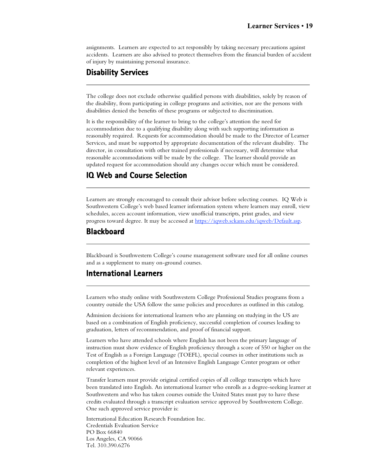assignments. Learners are expected to act responsibly by taking necessary precautions against accidents. Learners are also advised to protect themselves from the financial burden of accident of injury by maintaining personal insurance.

## **Disability Services**

The college does not exclude otherwise qualified persons with disabilities, solely by reason of the disability, from participating in college programs and activities, nor are the persons with disabilities denied the benefits of these programs or subjected to discrimination.

It is the responsibility of the learner to bring to the college's attention the need for accommodation due to a qualifying disability along with such supporting information as reasonably required. Requests for accommodation should be made to the Director of Learner Services, and must be supported by appropriate documentation of the relevant disability. The director, in consultation with other trained professionals if necessary, will determine what reasonable accommodations will be made by the college. The learner should provide an updated request for accommodation should any changes occur which must be considered.

## **IQ Web and Course Selection**

Learners are strongly encouraged to consult their advisor before selecting courses. IQ Web is Southwestern College's web based learner information system where learners may enroll, view schedules, access account information, view unofficial transcripts, print grades, and view progress toward degree. It may be accessed at https://iqweb.sckans.edu/iqweb/Default.asp.

### **Blackboard**

Blackboard is Southwestern College's course management software used for all online courses and as a supplement to many on-ground courses.

### **International Learners**

Learners who study online with Southwestern College Professional Studies programs from a country outside the USA follow the same policies and procedures as outlined in this catalog.

Admission decisions for international learners who are planning on studying in the US are based on a combination of English proficiency, successful completion of courses leading to graduation, letters of recommendation, and proof of financial support.

Learners who have attended schools where English has not been the primary language of instruction must show evidence of English proficiency through a score of 550 or higher on the Test of English as a Foreign Language (TOEFL), special courses in other institutions such as completion of the highest level of an Intensive English Language Center program or other relevant experiences.

Transfer learners must provide original certified copies of all college transcripts which have been translated into English. An international learner who enrolls as a degree-seeking learner at Southwestern and who has taken courses outside the United States must pay to have these credits evaluated through a transcript evaluation service approved by Southwestern College. One such approved service provider is:

International Education Research Foundation Inc. Credentials Evaluation Service PO Box 66840 Los Angeles, CA 90066 Tel. 310.390.6276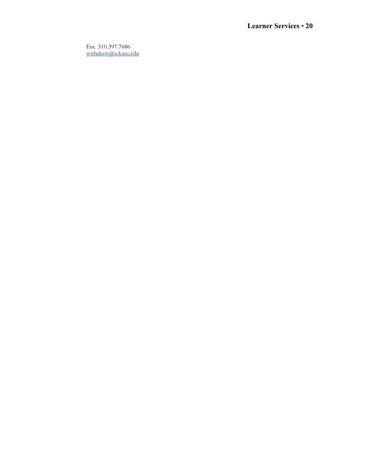Fax. 310.397.7686 withdraw@sckans.edu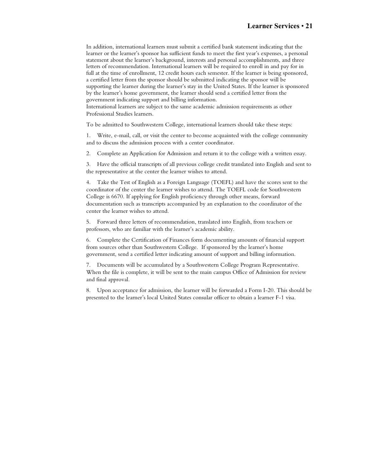In addition, international learners must submit a certified bank statement indicating that the learner or the learner's sponsor has sufficient funds to meet the first year's expenses, a personal statement about the learner's background, interests and personal accomplishments, and three letters of recommendation. International learners will be required to enroll in and pay for in full at the time of enrollment, 12 credit hours each semester. If the learner is being sponsored, a certified letter from the sponsor should be submitted indicating the sponsor will be supporting the learner during the learner's stay in the United States. If the learner is sponsored by the learner's home government, the learner should send a certified letter from the government indicating support and billing information.

International learners are subject to the same academic admission requirements as other Professional Studies learners.

To be admitted to Southwestern College, international learners should take these steps:

1. Write, e-mail, call, or visit the center to become acquainted with the college community and to discuss the admission process with a center coordinator.

2. Complete an Application for Admission and return it to the college with a written essay.

3. Have the official transcripts of all previous college credit translated into English and sent to the representative at the center the learner wishes to attend.

4. Take the Test of English as a Foreign Language (TOEFL) and have the scores sent to the coordinator of the center the learner wishes to attend. The TOEFL code for Southwestern College is 6670. If applying for English proficiency through other means, forward documentation such as transcripts accompanied by an explanation to the coordinator of the center the learner wishes to attend.

5. Forward three letters of recommendation, translated into English, from teachers or professors, who are familiar with the learner's academic ability.

6. Complete the Certification of Finances form documenting amounts of financial support from sources other than Southwestern College. If sponsored by the learner's home government, send a certified letter indicating amount of support and billing information.

7. Documents will be accumulated by a Southwestern College Program Representative. When the file is complete, it will be sent to the main campus Office of Admission for review and final approval.

8. Upon acceptance for admission, the learner will be forwarded a Form I-20. This should be presented to the learner's local United States consular officer to obtain a learner F-1 visa.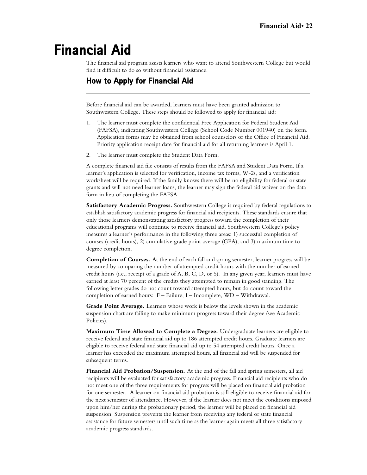# **Financial Aid**

The financial aid program assists learners who want to attend Southwestern College but would find it difficult to do so without financial assistance.

## **How to Apply for Financial Aid**

Before financial aid can be awarded, learners must have been granted admission to Southwestern College. These steps should be followed to apply for financial aid:

- 1. The learner must complete the confidential Free Application for Federal Student Aid (FAFSA), indicating Southwestern College (School Code Number 001940) on the form. Application forms may be obtained from school counselors or the Office of Financial Aid. Priority application receipt date for financial aid for all returning learners is April 1.
- 2. The learner must complete the Student Data Form.

A complete financial aid file consists of results from the FAFSA and Student Data Form. If a learner's application is selected for verification, income tax forms, W-2s, and a verification worksheet will be required. If the family knows there will be no eligibility for federal or state grants and will not need learner loans, the learner may sign the federal aid waiver on the data form in lieu of completing the FAFSA.

**Satisfactory Academic Progress.** Southwestern College is required by federal regulations to establish satisfactory academic progress for financial aid recipients. These standards ensure that only those learners demonstrating satisfactory progress toward the completion of their educational programs will continue to receive financial aid. Southwestern College's policy measures a learner's performance in the following three areas: 1) successful completion of courses (credit hours), 2) cumulative grade point average (GPA), and 3) maximum time to degree completion.

**Completion of Courses.** At the end of each fall and spring semester, learner progress will be measured by comparing the number of attempted credit hours with the number of earned credit hours (i.e., receipt of a grade of A, B, C, D, or S). In any given year, learners must have earned at least 70 percent of the credits they attempted to remain in good standing. The following letter grades do not count toward attempted hours, but do count toward the completion of earned hours: F – Failure, I – Incomplete, WD – Withdrawal.

**Grade Point Average.** Learners whose work is below the levels shown in the academic suspension chart are failing to make minimum progress toward their degree (see Academic Policies).

**Maximum Time Allowed to Complete a Degree.** Undergraduate learners are eligible to receive federal and state financial aid up to 186 attempted credit hours. Graduate learners are eligible to receive federal and state financial aid up to 54 attempted credit hours. Once a learner has exceeded the maximum attempted hours, all financial aid will be suspended for subsequent terms.

**Financial Aid Probation/Suspension.** At the end of the fall and spring semesters, all aid recipients will be evaluated for satisfactory academic progress. Financial aid recipients who do not meet one of the three requirements for progress will be placed on financial aid probation for one semester. A learner on financial aid probation is still eligible to receive financial aid for the next semester of attendance. However, if the learner does not meet the conditions imposed upon him/her during the probationary period, the learner will be placed on financial aid suspension. Suspension prevents the learner from receiving any federal or state financial assistance for future semesters until such time as the learner again meets all three satisfactory academic progress standards.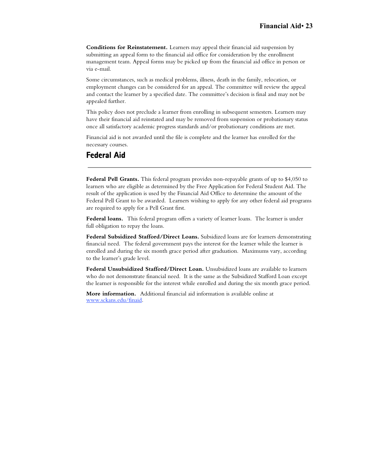**Conditions for Reinstatement.** Learners may appeal their financial aid suspension by submitting an appeal form to the financial aid office for consideration by the enrollment management team. Appeal forms may be picked up from the financial aid office in person or via e-mail.

Some circumstances, such as medical problems, illness, death in the family, relocation, or employment changes can be considered for an appeal. The committee will review the appeal and contact the learner by a specified date. The committee's decision is final and may not be appealed further.

This policy does not preclude a learner from enrolling in subsequent semesters. Learners may have their financial aid reinstated and may be removed from suspension or probationary status once all satisfactory academic progress standards and/or probationary conditions are met.

Financial aid is not awarded until the file is complete and the learner has enrolled for the necessary courses.

### **Federal Aid**

**Federal Pell Grants.** This federal program provides non-repayable grants of up to \$4,050 to learners who are eligible as determined by the Free Application for Federal Student Aid. The result of the application is used by the Financial Aid Office to determine the amount of the Federal Pell Grant to be awarded. Learners wishing to apply for any other federal aid programs are required to apply for a Pell Grant first.

**Federal loans.** This federal program offers a variety of learner loans. The learner is under full obligation to repay the loans.

**Federal Subsidized Stafford/Direct Loans.** Subsidized loans are for learners demonstrating financial need. The federal government pays the interest for the learner while the learner is enrolled and during the six month grace period after graduation. Maximums vary, according to the learner's grade level.

**Federal Unsubsidized Stafford/Direct Loan.** Unsubsidized loans are available to learners who do not demonstrate financial need. It is the same as the Subsidized Stafford Loan except the learner is responsible for the interest while enrolled and during the six month grace period.

**More information.** Additional financial aid information is available online at www.sckans.edu/finaid .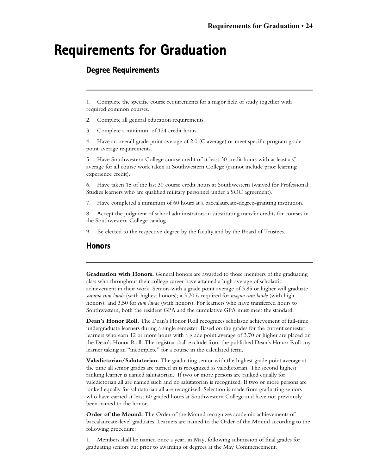## **Requirements for Graduation**

## **Degree Requirements**

1. Complete the specific course requirements for a major field of study together with required common courses.

2. Complete all general education requirements.

3. Complete a minimum of 124 credit hours.

4. Have an overall grade point average of 2.0 (C average) or meet specific program grade point average requirements.

5. Have Southwestern College course credit of at least 30 credit hours with at least a C average for all course work taken at Southwestern College (cannot include prior learning experience credit).

6. Have taken 15 of the last 30 course credit hours at Southwestern (waived for Professional Studies learners who are qualified military personnel under a SOC agreement).

7. Have completed a minimum of 60 hours at a baccalaureate-degree-granting institution.

8. Accept the judgment of school administrators in substituting transfer credits for courses in the Southwestern College catalog.

9. Be elected to the respective degree by the faculty and by the Board of Trustees.

### **Honors**

**Graduation with Honors.** General honors are awarded to those members of the graduating class who throughout their college career have attained a high average of scholastic achievement in their work. Seniors with a grade point average of 3.85 or higher will graduate *summa cum laude* (with highest honors); a 3.70 is required for *magna cum laude* (with high honors), and 3.50 for *cum laude* (with honors). For learners who have transferred hours to Southwestern, both the resident GPA and the cumulative GPA must meet the standard.

**Dean's Honor Roll.** The Dean's Honor Roll recognizes scholastic achievement of full-time undergraduate learners during a single semester. Based on the grades for the current semester, learners who earn 12 or more hours with a grade point average of 3.70 or higher are placed on the Dean's Honor Roll. The registrar shall exclude from the published Dean's Honor Roll any learner taking an "incomplete" for a course in the calculated term.

**Valedictorian/Salutatorian.** The graduating senior with the highest grade point average at the time all senior grades are turned in is recognized as valedictorian. The second highest ranking learner is named salutatorian. If two or more persons are ranked equally for valedictorian all are named such and no salutatorian is recognized. If two or more persons are ranked equally for salutatorian all are recognized. Selection is made from graduating seniors who have earned at least 60 graded hours at Southwestern College and have not previously been named to the honor.

**Order of the Mound.** The Order of the Mound recognizes academic achievements of baccalaureate-level graduates. Learners are named to the Order of the Mound according to the following procedure:

1. Members shall be named once a year, in May, following submission of final grades for graduating seniors but prior to awarding of degrees at the May Commencement.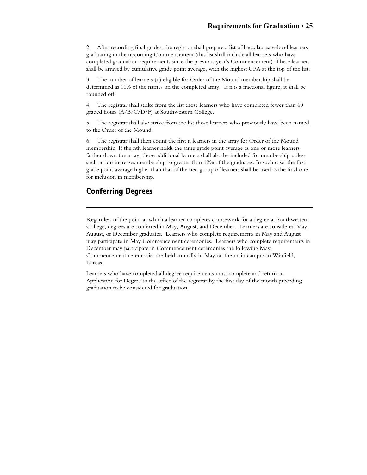2. After recording final grades, the registrar shall prepare a list of baccalaureate-level learners graduating in the upcoming Commencement (this list shall include all learners who have completed graduation requirements since the previous year's Commencement). These learners shall be arrayed by cumulative grade point average, with the highest GPA at the top of the list.

3. The number of learners (n) eligible for Order of the Mound membership shall be determined as 10% of the names on the completed array. If n is a fractional figure, it shall be rounded off.

4. The registrar shall strike from the list those learners who have completed fewer than 60 graded hours (A/B/C/D/F) at Southwestern College.

5. The registrar shall also strike from the list those learners who previously have been named to the Order of the Mound.

6. The registrar shall then count the first n learners in the array for Order of the Mound membership. If the nth learner holds the same grade point average as one or more learners farther down the array, those additional learners shall also be included for membership unless such action increases membership to greater than 12% of the graduates. In such case, the first grade point average higher than that of the tied group of learners shall be used as the final one for inclusion in membership.

## **Conferring Degrees**

Regardless of the point at which a learner completes coursework for a degree at Southwestern College, degrees are conferred in May, August, and December. Learners are considered May, August, or December graduates. Learners who complete requirements in May and August may participate in May Commencement ceremonies. Learners who complete requirements in December may participate in Commencement ceremonies the following May. Commencement ceremonies are held annually in May on the main campus in Winfield, Kansas.

Learners who have completed all degree requirements must complete and return an Application for Degree to the office of the registrar by the first day of the month preceding graduation to be considered for graduation.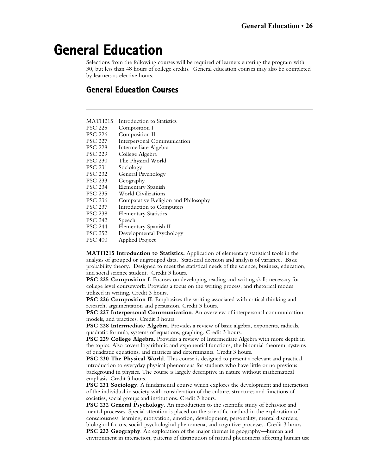# **General Education**

Selections from the following courses will be required of learners entering the program with 30, but less than 48 hours of college credits. General education courses may also be completed by learners as elective hours.

## **General Education Courses**

| <b>MATH215</b> | Introduction to Statistics          |
|----------------|-------------------------------------|
| <b>PSC 225</b> | Composition I                       |
| <b>PSC 226</b> | Composition II                      |
| <b>PSC 227</b> | Interpersonal Communication         |
| <b>PSC 228</b> | Intermediate Algebra                |
| <b>PSC 229</b> | College Algebra                     |
| <b>PSC 230</b> | The Physical World                  |
| <b>PSC 231</b> | Sociology                           |
| <b>PSC 232</b> | General Psychology                  |
| <b>PSC 233</b> | Geography                           |
| <b>PSC 234</b> | Elementary Spanish                  |
| <b>PSC 235</b> | <b>World Civilizations</b>          |
| <b>PSC 236</b> | Comparative Religion and Philosophy |
| <b>PSC 237</b> | Introduction to Computers           |
| <b>PSC 238</b> | <b>Elementary Statistics</b>        |
| <b>PSC 242</b> | Speech                              |
| <b>PSC 244</b> | Elementary Spanish II               |
| <b>PSC 252</b> | Developmental Psychology            |
| <b>PSC 400</b> | Applied Project                     |
|                |                                     |

**MATH215 Introduction to Statistics.** Application of elementary statistical tools in the analysis of grouped or ungrouped data. Statistical decision and analysis of variance. Basic probability theory. Designed to meet the statistical needs of the science, business, education, and social science student. Credit 3 hours.

**PSC 225 Composition I**. Focuses on developing reading and writing skills necessary for college level coursework. Provides a focus on the writing process, and rhetorical modes utilized in writing. Credit 3 hours.

**PSC 226 Composition II**. Emphasizes the writing associated with critical thinking and research, argumentation and persuasion. Credit 3 hours.

**PSC 227 Interpersonal Communication**. An overview of interpersonal communication, models, and practices. Credit 3 hours.

**PSC 228 Intermediate Algebra**. Provides a review of basic algebra, exponents, radicals, quadratic formula, systems of equations, graphing. Credit 3 hours.

**PSC 229 College Algebra**. Provides a review of Intermediate Algebra with more depth in the topics. Also covers logarithmic and exponential functions, the binomial theorem, systems of quadratic equations, and matrices and determinants. Credit 3 hours.

**PSC 230 The Physical World**. This course is designed to present a relevant and practical introduction to everyday physical phenomena for students who have little or no previous background in physics. The course is largely descriptive in nature without mathematical emphasis. Credit 3 hours.

**PSC 231 Sociology**. A fundamental course which explores the development and interaction of the individual in society with consideration of the culture, structures and functions of societies, social groups and institutions. Credit 3 hours.

**PSC 232 General Psychology**. An introduction to the scientific study of behavior and mental processes. Special attention is placed on the scientific method in the exploration of consciousness, learning, motivation, emotion, development, personality, mental disorders, biological factors, social-psychological phenomena, and cognitive processes. Credit 3 hours.

**PSC 233 Geography**. An exploration of the major themes in geography—human and environment in interaction, patterns of distribution of natural phenomena affecting human use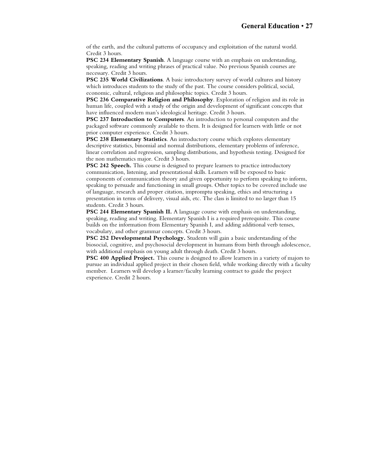of the earth, and the cultural patterns of occupancy and exploitation of the natural world. Credit 3 hours.

**PSC 234 Elementary Spanish**. A language course with an emphasis on understanding, speaking, reading and writing phrases of practical value. No previous Spanish courses are necessary. Credit 3 hours.

**PSC 235 World Civilizations**. A basic introductory survey of world cultures and history which introduces students to the study of the past. The course considers political, social, economic, cultural, religious and philosophic topics. Credit 3 hours.

**PSC 236 Comparative Religion and Philosophy**. Exploration of religion and its role in human life, coupled with a study of the origin and development of significant concepts that have influenced modern man's ideological heritage. Credit 3 hours.

**PSC 237 Introduction to Computers**. An introduction to personal computers and the packaged software commonly available to them. It is designed for learners with little or not prior computer experience. Credit 3 hours.

**PSC 238 Elementary Statistics**. An introductory course which explores elementary descriptive statistics, binomial and normal distributions, elementary problems of inference, linear correlation and regression, sampling distributions, and hypothesis testing. Designed for the non mathematics major. Credit 3 hours.

**PSC 242 Speech.** This course is designed to prepare learners to practice introductory communication, listening, and presentational skills. Learners will be exposed to basic components of communication theory and given opportunity to perform speaking to inform, speaking to persuade and functioning in small groups. Other topics to be covered include use of language, research and proper citation, impromptu speaking, ethics and structuring a presentation in terms of delivery, visual aids, etc. The class is limited to no larger than 15 students. Credit 3 hours.

**PSC 244 Elementary Spanish II.** A language course with emphasis on understanding, speaking, reading and writing. Elementary Spanish I is a required prerequisite. This course builds on the information from Elementary Spanish I, and adding additional verb tenses, vocabulary, and other grammar concepts. Credit 3 hours.

**PSC 252 Developmental Psychology.** Students will gain a basic understanding of the biosocial, cognitive, and psychosocial development in humans from birth through adolescence, with additional emphasis on young adult through death. Credit 3 hours.

**PSC 400 Applied Project.** This course is designed to allow learners in a variety of majors to pursue an individual applied project in their chosen field, while working directly with a faculty member. Learners will develop a learner/faculty learning contract to guide the project experience. Credit 2 hours.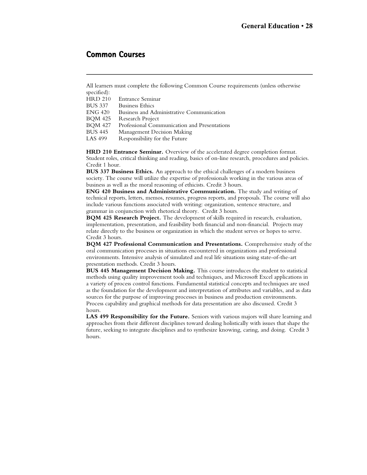### **Common Courses**

All learners must complete the following Common Course requirements (unless otherwise specified):<br>HRD 210

Entrance Seminar

BUS 337 Business Ethics

ENG 420 Business and Administrative Communication

BQM 425 Research Project

- BQM 427 Professional Communication and Presentations<br>BUS 445 Management Decision Making
- BUS 445 Management Decision Making<br>LAS 499 Responsibility for the Future
- Responsibility for the Future

**HRD 210 Entrance Seminar.** Overview of the accelerated degree completion format. Student roles, critical thinking and reading, basics of on-line research, procedures and policies. Credit 1 hour.

**BUS 337 Business Ethics.** An approach to the ethical challenges of a modern business society. The course will utilize the expertise of professionals working in the various areas of business as well as the moral reasoning of ethicists. Credit 3 hours.

**ENG 420 Business and Administrative Communication.** The study and writing of technical reports, letters, memos, resumes, progress reports, and proposals. The course will also include various functions associated with writing: organization, sentence structure, and grammar in conjunction with rhetorical theory. Credit 3 hours.

**BQM 425 Research Project.** The development of skills required in research, evaluation, implementation, presentation, and feasibility both financial and non-financial. Projects may relate directly to the business or organization in which the student serves or hopes to serve. Credit 3 hours.

**BQM 427 Professional Communication and Presentations.** Comprehensive study of the oral communication processes in situations encountered in organizations and professional environments. Intensive analysis of simulated and real life situations using state-of-the-art presentation methods. Credit 3 hours.

**BUS 445 Management Decision Making.** This course introduces the student to statistical methods using quality improvement tools and techniques, and Microsoft Excel applications in a variety of process control functions. Fundamental statistical concepts and techniques are used as the foundation for the development and interpretation of attributes and variables, and as data sources for the purpose of improving processes in business and production environments. Process capability and graphical methods for data presentation are also discussed. Credit 3 hours.

**LAS 499 Responsibility for the Future.** Seniors with various majors will share learning and approaches from their different disciplines toward dealing holistically with issues that shape the future, seeking to integrate disciplines and to synthesize knowing, caring, and doing. Credit 3 hours.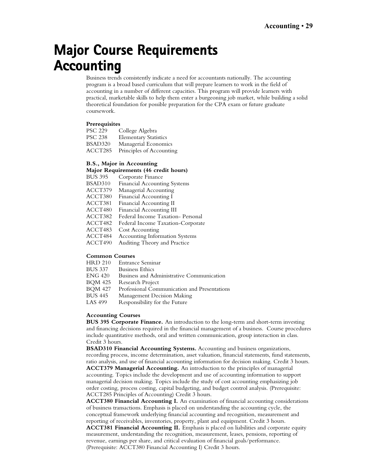# **Major Course Requirements Accounting**

Business trends consistently indicate a need for accountants nationally. The accounting program is a broad based curriculum that will prepare learners to work in the field of accounting in a number of different capacities. This program will provide learners with practical, marketable skills to help them enter a burgeoning job market, while building a solid theoretical foundation for possible preparation for the CPA exam or future graduate coursework.

#### **Prerequisites**

| <b>PSC 229</b> | College Algebra              |
|----------------|------------------------------|
| <b>PSC 238</b> | <b>Elementary Statistics</b> |
| BSAD320        | Managerial Economics         |
| ACCT285        | Principles of Accounting     |

#### **B.S., Major in Accounting**

#### **Major Requirements (46 credit hours)**

| BUS 395 | Corporate Finance                     |
|---------|---------------------------------------|
| BSAD310 | <b>Financial Accounting Systems</b>   |
| ACCT379 | Managerial Accounting                 |
| ACCT380 | Financial Accounting I                |
| ACCT381 | Financial Accounting II               |
| ACCT480 | Financial Accounting III              |
| ACCT382 | Federal Income Taxation- Personal     |
| ACCT482 | Federal Income Taxation-Corporate     |
| ACCT483 | Cost Accounting                       |
| ACCT484 | <b>Accounting Information Systems</b> |
| ACCT490 | Auditing Theory and Practice          |
|         |                                       |

#### **Common Courses**

- HRD 210 Entrance Seminar
- BUS 337 Business Ethics
- ENG 420 Business and Administrative Communication
- BQM 425 Research Project
- BQM 427 Professional Communication and Presentations
- BUS 445 Management Decision Making
- LAS 499 Responsibility for the Future

#### **Accounting Courses**

**BUS 395 Corporate Finance.** An introduction to the long-term and short-term investing and financing decisions required in the financial management of a business. Course procedures include quantitative methods, oral and written communication, group interaction in class. Credit 3 hours.

**BSAD310 Financial Accounting Systems.** Accounting and business organizations, recording process, income determination, asset valuation, financial statements, fund statements, ratio analysis, and use of financial accounting information for decision making. Credit 3 hours. **ACCT379 Managerial Accounting.** An introduction to the principles of managerial accounting. Topics include the development and use of accounting information to support managerial decision making. Topics include the study of cost accounting emphasizing job order costing, process costing, capital budgeting, and budget control analysis. (Prerequisite: ACCT285 Principles of Accounting) Credit 3 hours.

**ACCT380 Financial Accounting I.** An examination of financial accounting considerations of business transactions. Emphasis is placed on understanding the accounting cycle, the conceptual framework underlying financial accounting and recognition, measurement and reporting of receivables, inventories, property, plant and equipment. Credit 3 hours.

**ACCT381 Financial Accounting II.** Emphasis is placed on liabilities and corporate equity measurement, understanding the recognition, measurement, leases, pensions, reporting of revenue, earnings per share, and critical evaluation of financial goals/performance. (Prerequisite: ACCT380 Financial Accounting I) Credit 3 hours.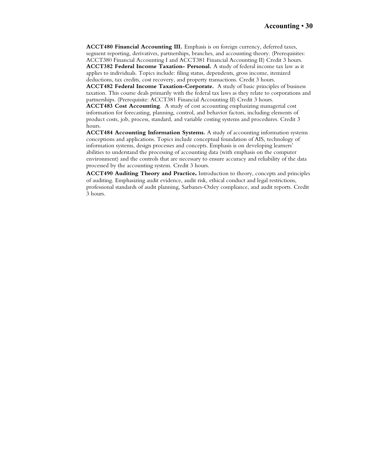**ACCT480 Financial Accounting III.** Emphasis is on foreign currency, deferred taxes, segment reporting, derivatives, partnerships, branches, and accounting theory. (Prerequisites: ACCT380 Financial Accounting I and ACCT381 Financial Accounting II) Credit 3 hours. **ACCT382 Federal Income Taxation- Personal.** A study of federal income tax law as it applies to individuals. Topics include: filing status, dependents, gross income, itemized

deductions, tax credits, cost recovery, and property transactions. Credit 3 hours. **ACCT482 Federal Income Taxation-Corporate.** A study of basic principles of business taxation. This course deals primarily with the federal tax laws as they relate to corporations and partnerships. (Prerequisite: ACCT381 Financial Accounting II) Credit 3 hours.

**ACCT483 Cost Accounting**. A study of cost accounting emphasizing managerial cost information for forecasting, planning, control, and behavior factors, including elements of product costs, job, process, standard, and variable costing systems and procedures. Credit 3 hours.

**ACCT484 Accounting Information Systems.** A study of accounting information systems conceptions and applications. Topics include conceptual foundation of AIS, technology of information systems, design processes and concepts. Emphasis is on developing learners' abilities to understand the processing of accounting data (with emphasis on the computer environment) and the controls that are necessary to ensure accuracy and reliability of the data processed by the accounting system. Credit 3 hours.

**ACCT490 Auditing Theory and Practice.** Introduction to theory, concepts and principles of auditing. Emphasizing audit evidence, audit risk, ethical conduct and legal restrictions, professional standards of audit planning, Sarbanes-Oxley compliance, and audit reports. Credit 3 hours.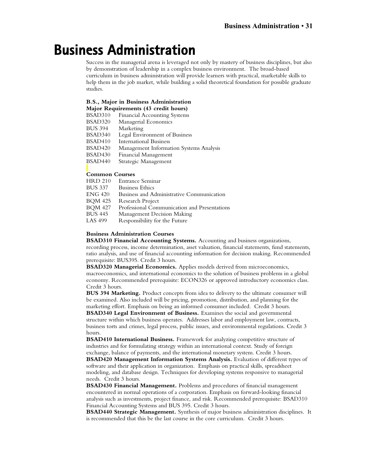# **Business Administration**

Success in the managerial arena is leveraged not only by mastery of business disciplines, but also by demonstration of leadership in a complex business environment. The broad-based curriculum in business administration will provide learners with practical, marketable skills to help them in the job market, while building a solid theoretical foundation for possible graduate studies.

#### **B.S., Major in Business Administration Major Requirements (43 credit hours)**

| BSAD310        | <b>Financial Accounting Systems</b>     |
|----------------|-----------------------------------------|
| BSAD320        | Managerial Economics                    |
| <b>BUS 394</b> | Marketing                               |
| BSAD340        | Legal Environment of Business           |
| BSAD410        | <b>International Business</b>           |
| BSAD420        | Management Information Systems Analysis |
| BSAD430        | Financial Management                    |
| BSAD440        | Strategic Management                    |
|                |                                         |
|                |                                         |

## **Common Courses**<br>**HRD 210** Entrane

- HRD 210 Entrance Seminar
- **Business Ethics**
- ENG 420 Business and Administrative Communication
- BQM 425 Research Project<br>BOM 427 Professional Com
- BQM 427 Professional Communication and Presentations<br>BUS 445 Management Decision Making
- BUS 445 Management Decision Making<br>LAS 499 Responsibility for the Future
- Responsibility for the Future

#### **Business Administration Courses**

**BSAD310 Financial Accounting Systems.** Accounting and business organizations, recording process, income determination, asset valuation, financial statements, fund statements, ratio analysis, and use of financial accounting information for decision making. Recommended prerequisite: BUS395. Credit 3 hours.

**BSAD320 Managerial Economics.** Applies models derived from microeconomics, macroeconomics, and international economics to the solution of business problems in a global economy. Recommended prerequisite: ECON326 or approved introductory economics class. Credit 3 hours.

**BUS 394 Marketing.** Product concepts from idea to delivery to the ultimate consumer will be examined. Also included will be pricing, promotion, distribution, and planning for the marketing effort. Emphasis on being an informed consumer included. Credit 3 hours.

**BSAD340 Legal Environment of Business.** Examines the social and governmental structure within which business operates. Addresses labor and employment law, contracts, business torts and crimes, legal process, public issues, and environmental regulations. Credit 3 hours.

**BSAD410 International Business.** Framework for analyzing competitive structure of industries and for formulating strategy within an international context. Study of foreign exchange, balance of payments, and the international monetary system. Credit 3 hours.

**BSAD420 Management Information Systems Analysis.** Evaluation of different types of software and their application in organization. Emphasis on practical skills, spreadsheet modeling, and database design. Techniques for developing systems responsive to managerial needs. Credit 3 hours.

**BSAD430 Financial Management.** Problems and procedures of financial management encountered in normal operations of a corporation. Emphasis on forward-looking financial analysis such as investments, project finance, and risk. Recommended prerequisite: BSAD310 Financial Accounting Systems and BUS 395. Credit 3 hours.

**BSAD440 Strategic Management.** Synthesis of major business administration disciplines. It is recommended that this be the last course in the core curriculum*.* Credit 3 hours.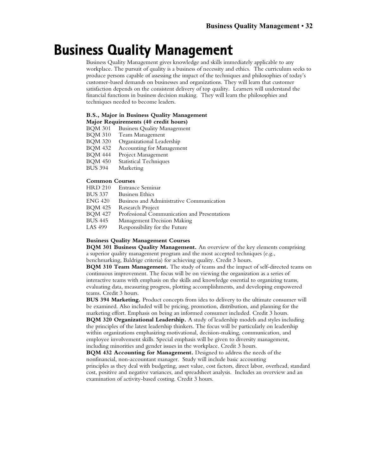# **Business Quality Management**

Business Quality Management gives knowledge and skills immediately applicable to any workplace. The pursuit of quality is a business of necessity and ethics. The curriculum seeks to produce persons capable of assessing the impact of the techniques and philosophies of today's customer-based demands on businesses and organizations. They will learn that customer satisfaction depends on the consistent delivery of top quality. Learners will understand the financial functions in business decision making. They will learn the philosophies and techniques needed to become leaders.

#### **B.S., Major in Business Quality Management**

## **Major Requirements (40 credit hours)**

- Business Quality Management
- BQM 310 Team Management<br>BQM 320 Organizational Lead
- BQM 320 Organizational Leadership<br>BQM 432 Accounting for Manageme
- Accounting for Management
- BQM 444 Project Management
- BQM 450 Statistical Techniques<br>BUS 394 Marketing
- Marketing

## **Common Courses**<br>**HRD 210** Entrance

- Entrance Seminar
- BUS 337 Business Ethics ENG 420 Business and Administrative Communication<br>BOM 425 Research Project
- Research Project
- BQM 427 Professional Communication and Presentations<br>BUS 445 Management Decision Making
- BUS 445 Management Decision Making<br>LAS 499 Responsibility for the Future
- Responsibility for the Future

#### **Business Quality Management Courses**

**BQM 301 Business Quality Management.** An overview of the key elements comprising a superior quality management program and the most accepted techniques (e.g., benchmarking, Baldrige criteria) for achieving quality. Credit 3 hours.

**BQM 310 Team Management.** The study of teams and the impact of self-directed teams on continuous improvement. The focus will be on viewing the organization as a series of interactive teams with emphasis on the skills and knowledge essential to organizing teams, evaluating data, measuring progress, plotting accomplishments, and developing empowered teams. Credit 3 hours.

**BUS 394 Marketing.** Product concepts from idea to delivery to the ultimate consumer will be examined. Also included will be pricing, promotion, distribution, and planning for the marketing effort. Emphasis on being an informed consumer included. Credit 3 hours. **BQM 320 Organizational Leadership.** A study of leadership models and styles including

the principles of the latest leadership thinkers. The focus will be particularly on leadership within organizations emphasizing motivational, decision-making, communication, and employee involvement skills. Special emphasis will be given to diversity management, including minorities and gender issues in the workplace. Credit 3 hours.

**BQM 432 Accounting for Management.** Designed to address the needs of the nonfinancial, non-accountant manager. Study will include basic accounting principles as they deal with budgeting, asset value, cost factors, direct labor, overhead, standard cost, positive and negative variances, and spreadsheet analysis. Includes an overview and an examination of activity-based costing. Credit 3 hours.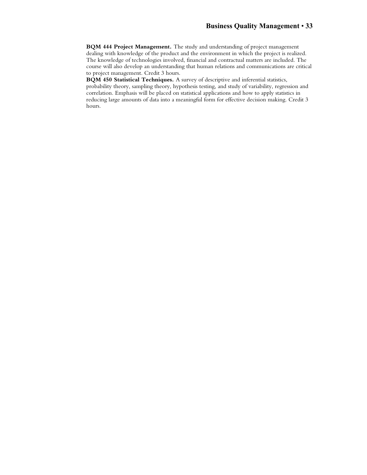**BQM 444 Project Management.** The study and understanding of project management dealing with knowledge of the product and the environment in which the project is realized. The knowledge of technologies involved, financial and contractual matters are included. The course will also develop an understanding that human relations and communications are critical to project management. Credit 3 hours.

**BQM 450 Statistical Techniques.** A survey of descriptive and inferential statistics, probability theory, sampling theory, hypothesis testing, and study of variability, regression and correlation. Emphasis will be placed on statistical applications and how to apply statistics in reducing large amounts of data into a meaningful form for effective decision making. Credit 3 hours.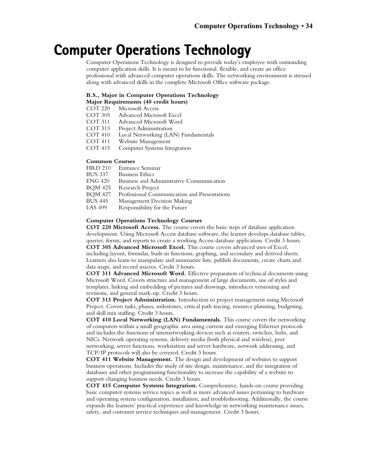## **Computer Operations Technology**

Computer Operations Technology is designed to provide today's employee with outstanding computer application skills. It is meant to be functional, flexible, and create an office professional with advanced computer operations skills. The networking environment is stressed along with advanced skills in the complete Microsoft Office software package.

#### **B.S., Major in Computer Operations Technology**

**Major Requirements (40 credit hours)**

- Microsoft Access
- COT 305 Advanced Microsoft Excel
- COT 311 Advanced Microsoft Word<br>COT 313 Project Administration
- Project Administration
- COT 410 Local Networking (LAN) Fundamentals<br>COT 411 Website Management
- COT 411 Website Management<br>COT 415 Computer Systems Int
- Computer Systems Integration

## **Common Courses**<br>**HRD 210** Entrance

- Entrance Seminar
- 
- BUS 337 Business Ethics<br>ENG 420 Business and A ENG 420 Business and Administrative Communication<br>BQM 425 Research Project
- Research Project
- BQM 427 Professional Communication and Presentations
- BUS 445 Management Decision Making<br>LAS 499 Responsibility for the Future
- Responsibility for the Future

#### **Computer Operations Technology Courses**

**COT 220 Microsoft Access.** The course covers the basic steps of database application development. Using Microsoft Access database software, the learner develops database tables, queries, forms, and reports to create a working Access database application. Credit 3 hours. **COT 305 Advanced Microsoft Excel.** This course covers advanced uses of Excel, including layout, formulas, built-in functions, graphing, and secondary and derived sheets. Learners also learn to manipulate and summarize lists, publish documents, create charts and data maps, and record macros. Credit 3 hours.

**COT 311 Advanced Microsoft Word.** Effective preparation of technical documents using Microsoft Word. Covers structure and management of large documents, use of styles and templates, linking and embedding of pictures and drawings, introduces versioning and revisions, and general mark-up. Credit 3 hours.

**COT 313 Project Administration.** Introduction to project management using Microsoft Project. Covers tasks, phases, milestones, critical path tracing, resource planning, budgeting, and skill mix staffing. Credit 3 hours.

**COT 410 Local Networking (LAN) Fundamentals.** This course covers the networking of computers within a small geographic area using current and emerging Ethernet protocols and includes the functions of internetworking devices such as routers, switches, hubs, and NICs. Network operating systems, delivery media (both physical and wireless), peer networking, server functions, workstation and server hardware, network addressing, and TCP/IP protocols will also be covered. Credit 3 hours.

**COT 411 Website Management.** The design and development of websites to support business operations. Includes the study of site design, maintenance, and the integration of databases and other programming functionality to increase the capability of a website to support changing business needs. Credit 3 hours.

**COT 415 Computer Systems Integration.** Comprehensive, hands-on course providing basic computer systems service topics as well as more advanced issues pertaining to hardware and operating system configuration, installation, and troubleshooting. Additionally, the course expands the learners' practical experience and knowledge in networking maintenance issues, safety, and customer service techniques and management. Credit 3 hours.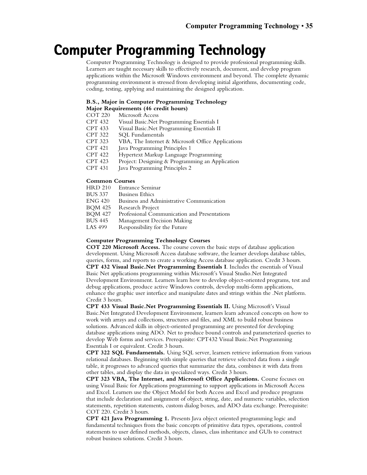# **Computer Programming Technology**

Computer Programming Technology is designed to provide professional programming skills. Learners are taught necessary skills to effectively research, document, and develop program applications within the Microsoft Windows environment and beyond. The complete dynamic programming environment is stressed from developing initial algorithms, documenting code, coding, testing, applying and maintaining the designed application.

#### **B.S., Major in Computer Programming Technology**

#### **Major Requirements (46 credit hours)**

- COT 220 Microsoft Access
- CPT 432 Visual Basic.Net Programming Essentials I
- Visual Basic.Net Programming Essentials II
- CPT 322 SQL Fundamentals<br>CPT 323 VBA, The Internet
- CPT 323 VBA, The Internet & Microsoft Office Applications<br>CPT 421 Java Programming Principles 1
- Java Programming Principles 1
- CPT 422 Hypertext Markup Language Programming
- CPT 423 Project: Designing & Programming an Application
- Java Programming Principles 2

## **Common Courses**<br>**HRD 210** Entrance

- Entrance Seminar
- BUS 337 Business Ethics
- ENG 420 Business and Administrative Communication<br>BOM 425 Research Project
- Research Project
- BQM 427 Professional Communication and Presentations<br>BUS 445 Management Decision Making
- BUS 445 Management Decision Making<br>LAS 499 Responsibility for the Future
- Responsibility for the Future

#### **Computer Programming Technology Courses**

**COT 220 Microsoft Access.** The course covers the basic steps of database application development. Using Microsoft Access database software, the learner develops database tables, queries, forms, and reports to create a working Access database application. Credit 3 hours. **CPT 432 Visual Basic.Net Programming Essentials I**. Includes the essentials of Visual Basic Net applications programming within Microsoft's Visual Studio.Net Integrated Development Environment. Learners learn how to develop object-oriented programs, test and debug applications, produce active Windows controls, develop multi-form applications, enhance the graphic user interface and manipulate dates and strings within the .Net platform. Credit 3 hours.

**CPT 433 Visual Basic.Net Programming Essentials II.** Using Microsoft's Visual Basic.Net Integrated Development Environment, learners learn advanced concepts on how to work with arrays and collections, structures and files, and XML to build robust business solutions. Advanced skills in object-oriented programming are presented for developing database applications using ADO. Net to produce bound controls and parameterized queries to develop Web forms and services. Prerequisite: CPT432 Visual Basic.Net Programming Essentials I or equivalent. Credit 3 hours.

**CPT 322 SQL Fundamentals.** Using SQL server, learners retrieve information from various relational databases. Beginning with simple queries that retrieve selected data from a single table, it progresses to advanced queries that summarize the data, combines it with data from other tables, and display the data in specialized ways. Credit 3 hours.

**CPT 323 VBA, The Internet, and Microsoft Office Applications.** Course focuses on using Visual Basic for Applications programming to support applications in Microsoft Access and Excel. Learners use the Object Model for both Access and Excel and produce programs that include declaration and assignment of object, string, date, and numeric variables, selection statements, repetition statements, custom dialog boxes, and ADO data exchange. Prerequisite: COT 220. Credit 3 hours.

**CPT 421 Java Programming 1.** Presents Java object oriented programming logic and fundamental techniques from the basic concepts of primitive data types, operations, control statements to user defined methods, objects, classes, class inheritance and GUIs to construct robust business solutions. Credit 3 hours.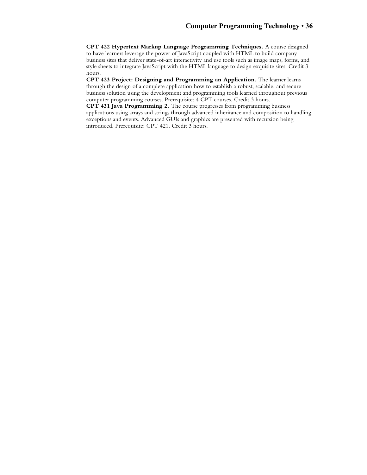**CPT 422 Hypertext Markup Language Programming Techniques.** A course designed to have learners leverage the power of JavaScript coupled with HTML to build company business sites that deliver state-of-art interactivity and use tools such as image maps, forms, and style sheets to integrate JavaScript with the HTML language to design exquisite sites. Credit 3 hours.

**CPT 423 Project: Designing and Programming an Application.** The learner learns through the design of a complete application how to establish a robust, scalable, and secure business solution using the development and programming tools learned throughout previous computer programming courses. Prerequisite: 4 CPT courses. Credit 3 hours.

**CPT 431 Java Programming 2.** The course progresses from programming business applications using arrays and strings through advanced inheritance and composition to handling exceptions and events. Advanced GUIs and graphics are presented with recursion being introduced. Prerequisite: CPT 421. Credit 3 hours.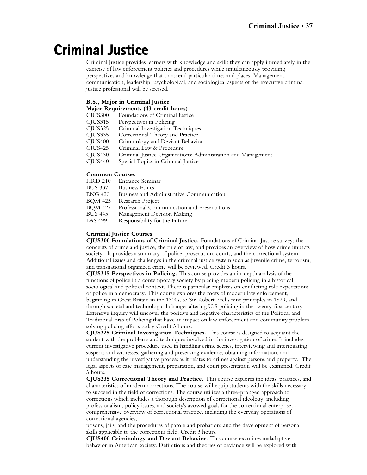# **Criminal Justice**

Criminal Justice provides learners with knowledge and skills they can apply immediately in the exercise of law enforcement policies and procedures while simultaneously providing perspectives and knowledge that transcend particular times and places. Management, communication, leadership, psychological, and sociological aspects of the executive criminal justice professional will be stressed.

### **B.S., Major in Criminal Justice**

| Major Requirements (43 credit hours) |                                                               |  |  |  |
|--------------------------------------|---------------------------------------------------------------|--|--|--|
| CIUS300                              | Foundations of Criminal Justice                               |  |  |  |
| CIUS315                              | Perspectives in Policing                                      |  |  |  |
| CIUS325                              | Criminal Investigation Techniques                             |  |  |  |
| CIUS335                              | Correctional Theory and Practice                              |  |  |  |
| CIUS400                              | Criminology and Deviant Behavior                              |  |  |  |
| CIUS425                              | Criminal Law & Procedure                                      |  |  |  |
| CIUS430                              | Criminal Justice Organizations: Administration and Management |  |  |  |
| CIUS <sub>440</sub>                  | Special Topics in Criminal Justice                            |  |  |  |
|                                      |                                                               |  |  |  |

## **Common Courses**<br>**HRD 210** Entrane

- HRD 210 Entrance Seminar
- **Business Ethics**
- ENG 420 Business and Administrative Communication
- BQM 425 Research Project<br>BOM 427 Professional Com
- BQM 427 Professional Communication and Presentations<br>BUS 445 Management Decision Making
- BUS 445 Management Decision Making<br>LAS 499 Responsibility for the Future
- Responsibility for the Future

### **Criminal Justice Courses**

**CJUS300 Foundations of Criminal Justice.** Foundations of Criminal Justice surveys the concepts of crime and justice, the rule of law, and provides an overview of how crime impacts society. It provides a summary of police, prosecution, courts, and the correctional system. Additional issues and challenges in the criminal justice system such as juvenile crime, terrorism, and transnational organized crime will be reviewed. Credit 3 hours.

**CJUS315 Perspectives in Policing.** This course provides an in-depth analysis of the functions of police in a contemporary society by placing modern policing in a historical, sociological and political context. There is particular emphasis on conflicting role expectations of police in a democracy. This course explores the roots of modern law enforcement, beginning in Great Britain in the 1300s, to Sir Robert Peel's nine principles in 1829, and through societal and technological changes altering U.S policing in the twenty-first century. Extensive inquiry will uncover the positive and negative characteristics of the Political and Traditional Eras of Policing that have an impact on law enforcement and community problem solving policing efforts today Credit 3 hours.

**CJUS325 Criminal Investigation Techniques.** This course is designed to acquaint the student with the problems and techniques involved in the investigation of crime. It includes current investigative procedure used in handling crime scenes, interviewing and interrogating suspects and witnesses, gathering and preserving evidence, obtaining information, and understanding the investigative process as it relates to crimes against persons and property. The legal aspects of case management, preparation, and court presentation will be examined. Credit 3 hours.

**CJUS335 Correctional Theory and Practice.** This course explores the ideas, practices, and characteristics of modern corrections. The course will equip students with the skills necessary to succeed in the field of corrections. The course utilizes a three-pronged approach to corrections which includes a thorough description of correctional ideology, including professionalism, policy issues, and society's avowed goals for the correctional enterprise; a comprehensive overview of correctional practice, including the everyday operations of correctional agencies,

prisons, jails, and the procedures of parole and probation; and the development of personal skills applicable to the corrections field. Credit 3 hours.

**CJUS400 Criminology and Deviant Behavior.** This course examines maladaptive behavior in American society. Definitions and theories of deviance will be explored with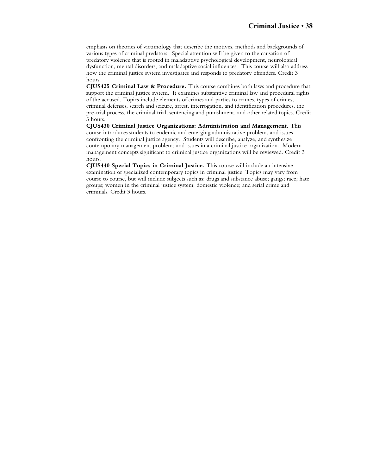emphasis on theories of victimology that describe the motives, methods and backgrounds of various types of criminal predators. Special attention will be given to the causation of predatory violence that is rooted in maladaptive psychological development, neurological dysfunction, mental disorders, and maladaptive social influences. This course will also address how the criminal justice system investigates and responds to predatory offenders. Credit 3 hours.

**CJUS425 Criminal Law & Procedure.** This course combines both laws and procedure that support the criminal justice system. It examines substantive criminal law and procedural rights of the accused. Topics include elements of crimes and parties to crimes, types of crimes, criminal defenses, search and seizure, arrest, interrogation, and identification procedures, the pre-trial process, the criminal trial, sentencing and punishment, and other related topics. Credit 3 hours.

**CJUS430 Criminal Justice Organizations: Administration and Management.** This course introduces students to endemic and emerging administrative problems and issues confronting the criminal justice agency. Students will describe, analyze, and synthesize contemporary management problems and issues in a criminal justice organization. Modern management concepts significant to criminal justice organizations will be reviewed. Credit 3 hours.

**CJUS440 Special Topics in Criminal Justice.** This course will include an intensive examination of specialized contemporary topics in criminal justice. Topics may vary from course to course, but will include subjects such as: drugs and substance abuse; gangs; race; hate groups; women in the criminal justice system; domestic violence; and serial crime and criminals. Credit 3 hours.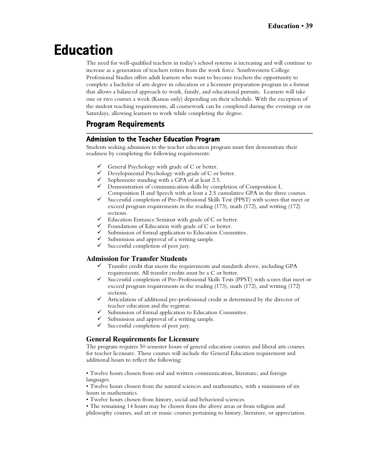# **Education**

The need for well-qualified teachers in today's school systems is increasing and will continue to increase as a generation of teachers retires from the work force. Southwestern College Professional Studies offers adult learners who want to become teachers the opportunity to complete a bachelor of arts degree in education or a licensure preparation program in a format that allows a balanced approach to work, family, and educational pursuits. Learners will take one or two courses a week (Kansas only) depending on their schedule. With the exception of the student teaching requirements, all coursework can be completed during the evenings or on Saturdays, allowing learners to work while completing the degree.

## **Program Requirements**

### **Admission to the Teacher Education Program**

Students seeking admission to the teacher education program must first demonstrate their readiness by completing the following requirements:

- General Psychology with grade of C or better.
- Developmental Psychology with grade of C or better.
- Sophomore standing with a GPA of at least 2.5.
- $\checkmark$  Demonstration of communication skills by completion of Composition I, Composition II and Speech with at least a 2.5 cumulative GPA in the three courses.
- $\checkmark$  Successful completion of Pre-Professional Skills Test (PPST) with scores that meet or exceed program requirements in the reading (173), math (172), and writing (172) sections.
- Education Entrance Seminar with grade of C or better.
- Foundations of Education with grade of C or better.
- Submission of formal application to Education Committee.
- Submission and approval of a writing sample.
- $\checkmark$  Successful completion of peer jury.

### **Admission for Transfer Students**

- Transfer credit that meets the requirements and standards above, including GPA requirements. All transfer credits must be a C or better.
- $\checkmark$  Successful completion of Pre-Professional Skills Tests (PPST) with scores that meet or exceed program requirements in the reading (173), math (172), and writing (172) sections.
- Articulation of additional pre-professional credit as determined by the director of teacher education and the registrar.
- Submission of formal application to Education Committee.
- $\checkmark$  Submission and approval of a writing sample.<br> $\checkmark$  Successful completion of peer jury.
- Successful completion of peer jury.

### **General Requirements for Licensure**

The program requires 50 semester hours of general education courses and liberal arts courses for teacher licensure. These courses will include the General Education requirement and additional hours to reflect the following:

• Twelve hours chosen from oral and written communication, literature, and foreign languages.

• Twelve hours chosen from the natural sciences and mathematics, with a minimum of six hours in mathematics.

• Twelve hours chosen from history, social and behavioral sciences.

• The remaining 14 hours may be chosen from the above areas or from religion and philosophy courses, and art or music courses pertaining to history, literature, or appreciation.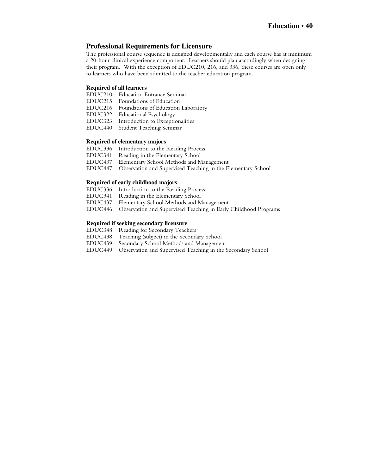### **Professional Requirements for Licensure**

The professional course sequence is designed developmentally and each course has at minimum a 20-hour clinical experience component. Learners should plan accordingly when designing their program. With the exception of EDUC210, 216, and 336, these courses are open only to learners who have been admitted to the teacher education program.

### **Required of all learners**

- EDUC210 Education Entrance Seminar<br>EDUC215 Foundations of Education
- Foundations of Education
- EDUC216 Foundations of Education Laboratory
- EDUC322 Educational Psychology
- EDUC323 Introduction to Exceptionalities
- EDUC440 Student Teaching Seminar

### **Required of elementary majors**

- EDUC336 Introduction to the Reading Process<br>EDUC341 Reading in the Elementary School
- Reading in the Elementary School
- EDUC437 Elementary School Methods and Management
- EDUC447 Observation and Supervised Teaching in the Elementary School

### **Required of early childhood majors**

- EDUC336 Introduction to the Reading Process
- EDUC341 Reading in the Elementary School
- EDUC437 Elementary School Methods and Management
- Observation and Supervised Teaching in Early Childhood Programs

### **Required if seeking secondary licensure**

- EDUC348 Reading for Secondary Teachers<br>EDUC438 Teaching (subject) in the Second
- EDUC438 Teaching (subject) in the Secondary School
- Secondary School Methods and Management
- EDUC449 Observation and Supervised Teaching in the Secondary School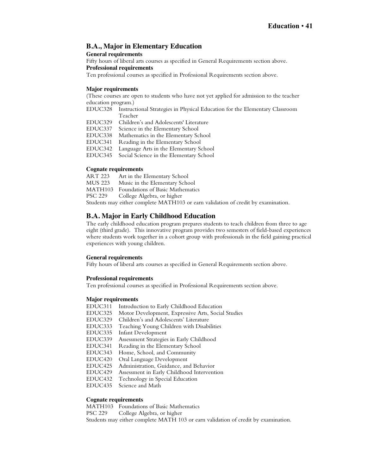### **B.A., Major in Elementary Education**

### **General requirements**

Fifty hours of liberal arts courses as specified in General Requirements section above. **Professional requirements**

Ten professional courses as specified in Professional Requirements section above.

### **Major requirements**

(These courses are open to students who have not yet applied for admission to the teacher education program.)

- EDUC328 Instructional Strategies in Physical Education for the Elementary Classroom Teacher
- EDUC329 Children's and Adolescents' Literature
- EDUC337 Science in the Elementary School<br>EDUC338 Mathematics in the Elementary Sc

Mathematics in the Elementary School

- EDUC341 Reading in the Elementary School
- EDUC342 Language Arts in the Elementary School
- Social Science in the Elementary School

### **Cognate requirements**

ART 223 Art in the Elementary School<br>MUS 223 Music in the Elementary Scho Music in the Elementary School MATH103 Foundations of Basic Mathematics PSC 229 College Algebra, or higher

Students may either complete MATH103 or earn validation of credit by examination.

### **B.A. Major in Early Childhood Education**

The early childhood education program prepares students to teach children from three to age eight (third grade). This innovative program provides two semesters of field-based experiences where students work together in a cohort group with professionals in the field gaining practical experiences with young children.

### **General requirements**

Fifty hours of liberal arts courses as specified in General Requirements section above.

### **Professional requirements**

Ten professional courses as specified in Professional Requirements section above.

### **Major requirements**

EDUC311 Introduction to Early Childhood Education EDUC325 Motor Development, Expressive Arts, Social Studies EDUC329 Children's and Adolescents' Literature Teaching Young Children with Disabilities EDUC335 Infant Development EDUC339 Assessment Strategies in Early Childhood Reading in the Elementary School EDUC343 Home, School, and Community EDUC420 Oral Language Development Administration, Guidance, and Behavior EDUC429 Assessment in Early Childhood Intervention<br>EDUC432 Technology in Special Education EDUC432 Technology in Special Education Science and Math

### **Cognate requirements**

MATH103 Foundations of Basic Mathematics PSC 229 College Algebra, or higher Students may either complete MATH 103 or earn validation of credit by examination.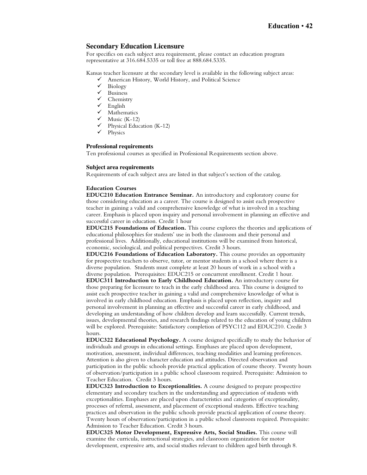### **Secondary Education Licensure**

For specifics on each subject area requirement, please contact an education program representative at 316.684.5335 or toll free at 888.684.5335.

Kansas teacher licensure at the secondary level is available in the following subject areas:

- American History, World History, and Political Science
- $\checkmark$  Biology
- $\checkmark$  Business<br> $\checkmark$  Chemist
- $\checkmark$  Chemistry<br> $\checkmark$  English
- ✔ English<br>✔ Mathen
- Mathematics
- $\checkmark$  Music (K-12)
- $\checkmark$  Physical Education (K-12)<br> $\checkmark$  Physics
- Physics

### **Professional requirements**

Ten professional courses as specified in Professional Requirements section above.

### **Subject area requirements**

Requirements of each subject area are listed in that subject's section of the catalog.

### **Education Courses**

**EDUC210 Education Entrance Seminar.** An introductory and exploratory course for those considering education as a career. The course is designed to assist each prospective teacher in gaining a valid and comprehensive knowledge of what is involved in a teaching career. Emphasis is placed upon inquiry and personal involvement in planning an effective and successful career in education. Credit 1 hour

**EDUC215 Foundations of Education.** This course explores the theories and applications of educational philosophies for students' use in both the classroom and their personal and professional lives. Additionally, educational institutions will be examined from historical, economic, sociological, and political perspectives. Credit 3 hours.

**EDUC216 Foundations of Education Laboratory.** This course provides an opportunity for prospective teachers to observe, tutor, or mentor students in a school where there is a diverse population. Students must complete at least 20 hours of work in a school with a diverse population. Prerequisites: EDUC215 or concurrent enrollment. Credit 1 hour.

**EDUC311 Introduction to Early Childhood Education.** An introductory course for those preparing for licensure to teach in the early childhood area. This course is designed to assist each prospective teacher in gaining a valid and comprehensive knowledge of what is involved in early childhood education. Emphasis is placed upon reflection, inquiry and personal involvement in planning an effective and successful career in early childhood, and developing an understanding of how children develop and learn successfully. Current trends, issues, developmental theories, and research findings related to the education of young children will be explored. Prerequisite: Satisfactory completion of PSYC112 and EDUC210. Credit 3 hours.

**EDUC322 Educational Psychology.** A course designed specifically to study the behavior of individuals and groups in educational settings. Emphases are placed upon development, motivation, assessment, individual differences, teaching modalities and learning preferences. Attention is also given to character education and attitudes. Directed observation and participation in the public schools provide practical application of course theory. Twenty hours of observation/participation in a public school classroom required. Prerequisite: Admission to Teacher Education. Credit 3 hours.

**EDUC323 Introduction to Exceptionalities.** A course designed to prepare prospective elementary and secondary teachers in the understanding and appreciation of students with exceptionalities. Emphases are placed upon characteristics and categories of exceptionality, processes of referral, assessment, and placement of exceptional students. Effective teaching practices and observation in the public schools provide practical application of course theory. Twenty hours of observation/participation in a public school classroom required. Prerequisite: Admission to Teacher Education. Credit 3 hours.

**EDUC325 Motor Development, Expressive Arts, Social Studies.** This course will examine the curricula, instructional strategies, and classroom organization for motor development, expressive arts, and social studies relevant to children aged birth through 8.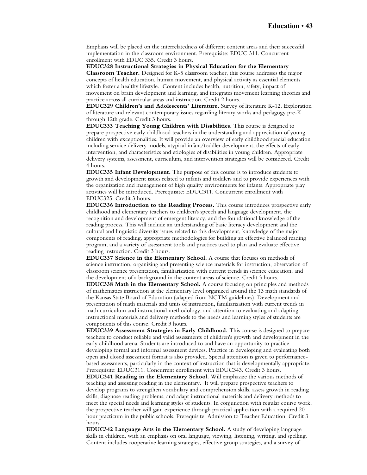Emphasis will be placed on the interrelatedness of different content areas and their successful implementation in the classroom environment. Prerequisite: EDUC 311. Concurrent enrollment with EDUC 335. Credit 3 hours.

**EDUC328 Instructional Strategies in Physical Education for the Elementary Classroom Teacher.** Designed for K-5 classroom teacher, this course addresses the major concepts of health education, human movement, and physical activity as essential elements which foster a healthy lifestyle. Content includes health, nutrition, safety, impact of movement on brain development and learning, and integrates movement learning theories and practice across all curricular areas and instruction. Credit 2 hours.

**EDUC329 Children's and Adolescents' Literature.** Survey of literature K-12. Exploration of literature and relevant contemporary issues regarding literary works and pedagogy pre-K through 12th grade. Credit 3 hours.

**EDUC333 Teaching Young Children with Disabilities.** This course is designed to prepare prospective early childhood teachers in the understanding and appreciation of young children with exceptionalities. It will provide an overview of early childhood special education including service delivery models, atypical infant/toddler development, the effects of early intervention, and characteristics and etiologies of disabilities in young children. Appropriate delivery systems, assessment, curriculum, and intervention strategies will be considered. Credit 4 hours.

**EDUC335 Infant Development.** The purpose of this course is to introduce students to growth and development issues related to infants and toddlers and to provide experiences with the organization and management of high quality environments for infants. Appropriate play activities will be introduced. Prerequisite: EDUC311. Concurrent enrollment with EDUC325. Credit 3 hours.

**EDUC336 Introduction to the Reading Process.** This course introduces prospective early childhood and elementary teachers to children's speech and language development, the recognition and development of emergent literacy, and the foundational knowledge of the reading process. This will include an understanding of basic literacy development and the cultural and linguistic diversity issues related to this development, knowledge of the major components of reading, appropriate methodologies for building an effective balanced reading program, and a variety of assessment tools and practices used to plan and evaluate effective reading instruction. Credit 3 hours.

**EDUC337 Science in the Elementary School.** A course that focuses on methods of science instruction, organizing and presenting science materials for instruction, observation of classroom science presentation, familiarization with current trends in science education, and the development of a background in the content areas of science. Credit 3 hours.

**EDUC338 Math in the Elementary School.** A course focusing on principles and methods of mathematics instruction at the elementary level organized around the 13 math standards of the Kansas State Board of Education (adapted from NCTM guidelines). Development and presentation of math materials and units of instruction, familiarization with current trends in math curriculum and instructional methodology, and attention to evaluating and adapting instructional materials and delivery methods to the needs and learning styles of students are components of this course. Credit 3 hours.

**EDUC339 Assessment Strategies in Early Childhood.** This course is designed to prepare teachers to conduct reliable and valid assessments of children's growth and development in the early childhood arena. Students are introduced to and have an opportunity to practice developing formal and informal assessment devices. Practice in developing and evaluating both open and closed assessment format is also provided. Special attention is given to performancebased assessments, particularly in the context of instruction that is developmentally appropriate. Prerequisite: EDUC311. Concurrent enrollment with EDUC343. Credit 3 hours.

**EDUC341 Reading in the Elementary School.** Will emphasize the various methods of teaching and assessing reading in the elementary. It will prepare prospective teachers to develop programs to strengthen vocabulary and comprehension skills, assess growth in reading skills, diagnose reading problems, and adapt instructional materials and delivery methods to meet the special needs and learning styles of students. In conjunction with regular course work, the prospective teacher will gain experience through practical application with a required 20 hour practicum in the public schools. Prerequisite: Admission to Teacher Education. Credit 3 hours.

**EDUC342 Language Arts in the Elementary School.** A study of developing language skills in children, with an emphasis on oral language, viewing, listening, writing, and spelling. Content includes cooperative learning strategies, effective group strategies, and a survey of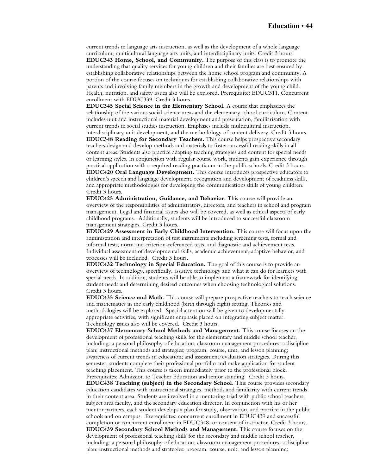current trends in language arts instruction, as well as the development of a whole language curriculum, multicultural language arts units, and interdisciplinary units. Credit 3 hours. **EDUC343 Home, School, and Community.** The purpose of this class is to promote the understanding that quality services for young children and their families are best ensured by establishing collaborative relationships between the home school program and community. A portion of the course focuses on techniques for establishing collaborative relationships with parents and involving family members in the growth and development of the young child.

Health, nutrition, and safety issues also will be explored. Prerequisite: EDUC311. Concurrent enrollment with EDUC339. Credit 3 hours.

**EDUC345 Social Science in the Elementary School.** A course that emphasizes the relationship of the various social science areas and the elementary school curriculum. Content includes unit and instructional material development and presentation, familiarization with current trends in social studies instruction. Emphases include multicultural instruction, interdisciplinary unit development, and the methodology of content delivery. Credit 3 hours. **EDUC348 Reading for Secondary Teachers.** This course helps prospective secondary teachers design and develop methods and materials to foster successful reading skills in all content areas. Students also practice adapting teaching strategies and content for special needs or learning styles. In conjunction with regular course work, students gain experience through practical application with a required reading practicum in the public schools. Credit 3 hours. **EDUC420 Oral Language Development.** This course introduces prospective educators to children's speech and language development, recognition and development of readiness skills, and appropriate methodologies for developing the communications skills of young children. Credit 3 hours.

**EDUC425 Administration, Guidance, and Behavior.** This course will provide an overview of the responsibilities of administrators, directors, and teachers in school and program management. Legal and financial issues also will be covered, as well as ethical aspects of early childhood programs. Additionally, students will be introduced to successful classroom management strategies. Credit 3 hours.

**EDUC429 Assessment in Early Childhood Intervention.** This course will focus upon the administration and interpretation of test instruments including screening tests, formal and informal tests, norm and criterion-referenced tests, and diagnostic and achievement tests. Individual assessment of developmental skills, academic achievement, adaptive behavior, and processes will be included. Credit 3 hours.

**EDUC432 Technology in Special Education.** The goal of this course is to provide an overview of technology, specifically, assistive technology and what it can do for learners with special needs. In addition, students will be able to implement a framework for identifying student needs and determining desired outcomes when choosing technological solutions. Credit 3 hours.

**EDUC435 Science and Math.** This course will prepare prospective teachers to teach science and mathematics in the early childhood (birth through eight) setting. Theories and methodologies will be explored. Special attention will be given to developmentally appropriate activities, with significant emphasis placed on integrating subject matter. Technology issues also will be covered. Credit 3 hours.

**EDUC437 Elementary School Methods and Management.** This course focuses on the development of professional teaching skills for the elementary and middle school teacher, including: a personal philosophy of education; classroom management procedures; a discipline plan; instructional methods and strategies; program, course, unit, and lesson planning; awareness of current trends in education; and assessment/evaluation strategies. During this semester, students complete their professional portfolio and make application for student teaching placement. This course is taken immediately prior to the professional block. Prerequisites: Admission to Teacher Education and senior standing. Credit 3 hours.

**EDUC438 Teaching (subject) in the Secondary School.** This course provides secondary education candidates with instructional strategies, methods and familiarity with current trends in their content area. Students are involved in a mentoring triad with public school teachers, subject area faculty, and the secondary education director. In conjunction with his or her mentor partners, each student develops a plan for study, observation, and practice in the public schools and on campus. Prerequisites: concurrent enrollment in EDUC439 and successful completion or concurrent enrollment in EDUC348, or consent of instructor. Credit 3 hours. **EDUC439 Secondary School Methods and Management.** This course focuses on the development of professional teaching skills for the secondary and middle school teacher, including: a personal philosophy of education; classroom management procedures; a discipline plan; instructional methods and strategies; program, course, unit, and lesson planning;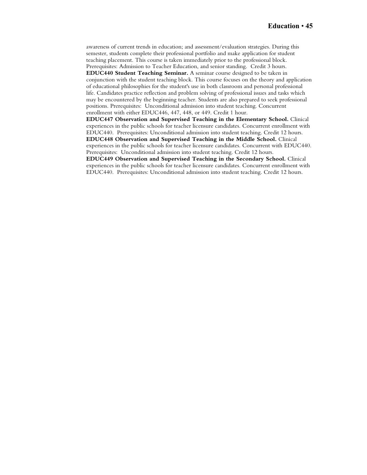awareness of current trends in education; and assessment/evaluation strategies. During this semester, students complete their professional portfolio and make application for student teaching placement. This course is taken immediately prior to the professional block. Prerequisites: Admission to Teacher Education, and senior standing. Credit 3 hours. **EDUC440 Student Teaching Seminar.** A seminar course designed to be taken in conjunction with the student teaching block. This course focuses on the theory and application of educational philosophies for the student's use in both classroom and personal professional life. Candidates practice reflection and problem solving of professional issues and tasks which may be encountered by the beginning teacher. Students are also prepared to seek professional positions. Prerequisites: Unconditional admission into student teaching. Concurrent enrollment with either EDUC446, 447, 448, or 449. Credit 1 hour.

**EDUC447 Observation and Supervised Teaching in the Elementary School.** Clinical experiences in the public schools for teacher licensure candidates. Concurrent enrollment with EDUC440. Prerequisites: Unconditional admission into student teaching. Credit 12 hours. **EDUC448 Observation and Supervised Teaching in the Middle School.** Clinical

experiences in the public schools for teacher licensure candidates. Concurrent with EDUC440. Prerequisites: Unconditional admission into student teaching. Credit 12 hours.

**EDUC449 Observation and Supervised Teaching in the Secondary School.** Clinical experiences in the public schools for teacher licensure candidates. Concurrent enrollment with EDUC440. Prerequisites: Unconditional admission into student teaching. Credit 12 hours.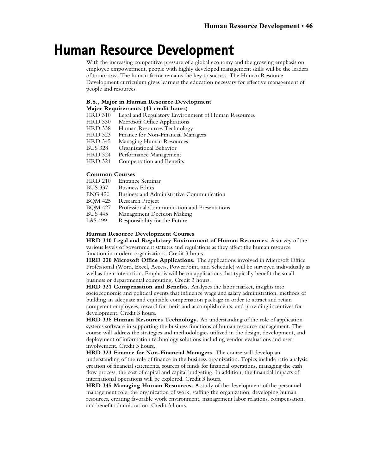## **Human Resource Development**

With the increasing competitive pressure of a global economy and the growing emphasis on employee empowerment, people with highly developed management skills will be the leaders of tomorrow. The human factor remains the key to success. The Human Resource Development curriculum gives learners the education necessary for effective management of people and resources.

### **B.S., Major in Human Resource Development**

### **Major Requirements (43 credit hours)**

HRD 310 Legal and Regulatory Environment of Human Resources

- HRD 330 Microsoft Office Applications<br>HRD 338 Human Resources Technolog
- Human Resources Technology
- HRD 323 Finance for Non-Financial Managers<br>HRD 345 Managing Human Resources
- HRD 345 Managing Human Resources<br>BUS 328 Organizational Behavior
- Organizational Behavior
- HRD 324 Performance Management
- HRD 321 Compensation and Benefits

## **Common Courses**<br>**HRD 210** Entrand

- HRD 210 Entrance Seminar<br>BUS 337 Business Ethics
- **Business Ethics**
- ENG 420 Business and Administrative Communication
- BQM 425 Research Project<br>BOM 427 Professional Com
- BQM 427 Professional Communication and Presentations<br>BUS 445 Management Decision Making
- BUS 445 Management Decision Making<br>LAS 499 Responsibility for the Future
- Responsibility for the Future

#### **Human Resource Development Courses**

**HRD 310 Legal and Regulatory Environment of Human Resources.** A survey of the various levels of government statutes and regulations as they affect the human resource function in modern organizations. Credit 3 hours.

**HRD 330 Microsoft Office Applications.** The applications involved in Microsoft Office Professional (Word, Excel, Access, PowerPoint, and Schedule) will be surveyed individually as well as their interaction. Emphasis will be on applications that typically benefit the small business or departmental computing. Credit 3 hours.

**HRD 321 Compensation and Benefits.** Analyzes the labor market, insights into socioeconomic and political events that influence wage and salary administration, methods of building an adequate and equitable compensation package in order to attract and retain competent employees, reward for merit and accomplishments, and providing incentives for development. Credit 3 hours.

**HRD 338 Human Resources Technology.** An understanding of the role of application systems software in supporting the business functions of human resource management. The course will address the strategies and methodologies utilized in the design, development, and deployment of information technology solutions including vendor evaluations and user involvement. Credit 3 hours.

**HRD 323 Finance for Non-Financial Managers.** The course will develop an understanding of the role of finance in the business organization. Topics include ratio analysis, creation of financial statements, sources of funds for financial operations, managing the cash flow process, the cost of capital and capital budgeting. In addition, the financial impacts of international operations will be explored. Credit 3 hours.

**HRD 345 Managing Human Resources.** A study of the development of the personnel management role, the organization of work, staffing the organization, developing human resources, creating favorable work environment, management labor relations, compensation, and benefit administration. Credit 3 hours.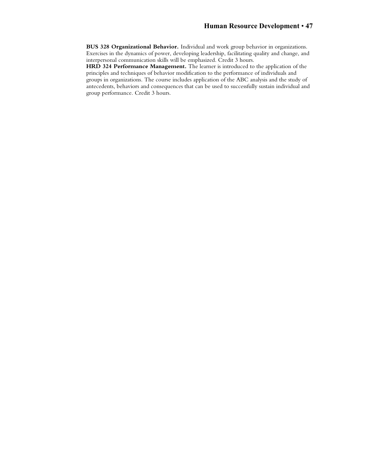**BUS 328 Organizational Behavior.** Individual and work group behavior in organizations. Exercises in the dynamics of power, developing leadership, facilitating quality and change, and interpersonal communication skills will be emphasized. Credit 3 hours.

**HRD 324 Performance Management.** The learner is introduced to the application of the principles and techniques of behavior modification to the performance of individuals and groups in organizations. The course includes application of the ABC analysis and the study of antecedents, behaviors and consequences that can be used to successfully sustain individual and group performance. Credit 3 hours.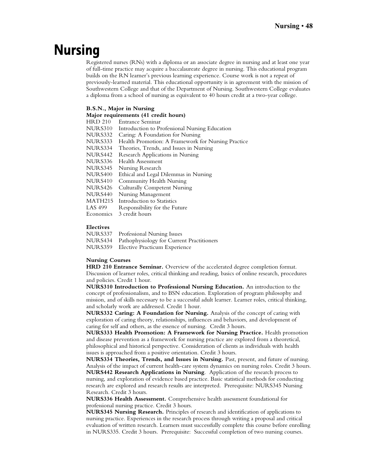# **Nursing**

Registered nurses (RNs) with a diploma or an associate degree in nursing and at least one year of full-time practice may acquire a baccalaureate degree in nursing. This educational program builds on the RN learner's previous learning experience. Course work is not a repeat of previously-learned material. This educational opportunity is in agreement with the mission of Southwestern College and that of the Department of Nursing. Southwestern College evaluates a diploma from a school of nursing as equivalent to 40 hours credit at a two-year college.

### **B.S.N., Major in Nursing**

|                | Major requirements (41 credit hours)               |
|----------------|----------------------------------------------------|
| <b>HRD 210</b> | Entrance Seminar                                   |
| NURS310        | Introduction to Professional Nursing Education     |
| NURS332        | Caring: A Foundation for Nursing                   |
| NURS333        | Health Promotion: A Framework for Nursing Practice |
| NURS334        | Theories, Trends, and Issues in Nursing            |
| NURS442        | Research Applications in Nursing                   |
| NURS336        | Health Assessment                                  |
| NURS345        | Nursing Research                                   |
| NURS400        | Ethical and Legal Dilemmas in Nursing              |
| NURS410        | Community Health Nursing                           |
| NURS426        | <b>Culturally Competent Nursing</b>                |
| NURS440        | Nursing Management                                 |
| MATH215        | Introduction to Statistics                         |
| LAS 499        | Responsibility for the Future                      |
| Economics      | 3 credit hours                                     |
|                |                                                    |

### **Electives**

| NURS337 Professional Nursing Issues               |
|---------------------------------------------------|
| NURS434 Pathophysiology for Current Practitioners |
| NURS359 Elective Practicum Experience             |

### **Nursing Courses**

**HRD 210 Entrance Seminar.** Overview of the accelerated degree completion format. Discussion of learner roles, critical thinking and reading, basics of online research, procedures and policies. Credit 1 hour.

**NURS310 Introduction to Professional Nursing Education.** An introduction to the concept of professionalism, and to BSN education. Exploration of program philosophy and mission, and of skills necessary to be a successful adult learner. Learner roles, critical thinking, and scholarly work are addressed. Credit 1 hour.

**NURS332 Caring: A Foundation for Nursing.** Analysis of the concept of caring with exploration of caring theory, relationships, influences and behaviors, and development of caring for self and others, as the essence of nursing. Credit 3 hours.

**NURS333 Health Promotion: A Framework for Nursing Practice.** Health promotion and disease prevention as a framework for nursing practice are explored from a theoretical, philosophical and historical perspective. Consideration of clients as individuals with health issues is approached from a positive orientation. Credit 3 hours.

**NURS334 Theories, Trends, and Issues in Nursing.** Past, present, and future of nursing. Analysis of the impact of current health-care system dynamics on nursing roles. Credit 3 hours. **NURS442 Research Applications in Nursing**. Application of the research process to nursing, and exploration of evidence based practice. Basic statistical methods for conducting research are explored and research results are interpreted. Prerequisite: NURS345 Nursing Research. Credit 3 hours.

**NURS336 Health Assessment.** Comprehensive health assessment foundational for professional nursing practice. Credit 3 hours.

**NURS345 Nursing Research.** Principles of research and identification of applications to nursing practice. Experiences in the research process through writing a proposal and critical evaluation of written research. Learners must successfully complete this course before enrolling in NURS335. Credit 3 hours. Prerequisite: Successful completion of two nursing courses.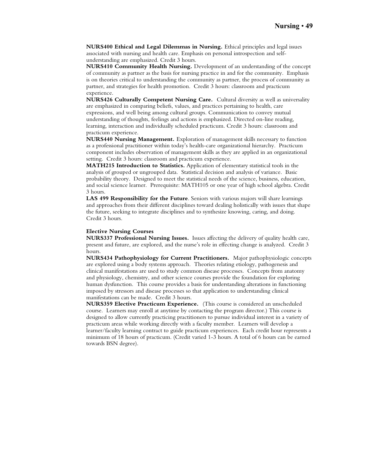**NURS400 Ethical and Legal Dilemmas in Nursing.** Ethical principles and legal issues associated with nursing and health care. Emphasis on personal introspection and selfunderstanding are emphasized. Credit 3 hours.

**NURS410 Community Health Nursing.** Development of an understanding of the concept of community as partner as the basis for nursing practice in and for the community. Emphasis is on theories critical to understanding the community as partner, the process of community as partner, and strategies for health promotion. Credit 3 hours: classroom and practicum experience.

**NURS426 Culturally Competent Nursing Care.** Cultural diversity as well as universality are emphasized in comparing beliefs, values, and practices pertaining to health, care expressions, and well being among cultural groups. Communication to convey mutual understanding of thoughts, feelings and actions is emphasized. Directed on-line reading, learning, interaction and individually scheduled practicum. Credit 3 hours: classroom and practicum experience.

**NURS440 Nursing Management.** Exploration of management skills necessary to function as a professional practitioner within today's health-care organizational hierarchy. Practicum component includes observation of management skills as they are applied in an organizational setting. Credit 3 hours: classroom and practicum experience.

**MATH215 Introduction to Statistics.** Application of elementary statistical tools in the analysis of grouped or ungrouped data. Statistical decision and analysis of variance. Basic probability theory. Designed to meet the statistical needs of the science, business, education, and social science learner. Prerequisite: MATH105 or one year of high school algebra. Credit 3 hours.

**LAS 499 Responsibility for the Future**. Seniors with various majors will share learnings and approaches from their different disciplines toward dealing holistically with issues that shape the future, seeking to integrate disciplines and to synthesize knowing, caring, and doing. Credit 3 hours.

### **Elective Nursing Courses**

**NURS337 Professional Nursing Issues.** Issues affecting the delivery of quality health care, present and future, are explored, and the nurse's role in effecting change is analyzed. Credit 3 hours.

**NURS434 Pathophysiology for Current Practitioners.** Major pathophysiologic concepts are explored using a body systems approach. Theories relating etiology, pathogenesis and clinical manifestations are used to study common disease processes. Concepts from anatomy and physiology, chemistry, and other science courses provide the foundation for exploring human dysfunction. This course provides a basis for understanding alterations in functioning imposed by stressors and disease processes so that application to understanding clinical manifestations can be made. Credit 3 hours.

**NURS359 Elective Practicum Experience.** (This course is considered an unscheduled course. Learners may enroll at anytime by contacting the program director.) This course is designed to allow currently practicing practitioners to pursue individual interest in a variety of practicum areas while working directly with a faculty member. Learners will develop a learner/faculty learning contract to guide practicum experiences. Each credit hour represents a minimum of 18 hours of practicum. (Credit varied 1-3 hours. A total of 6 hours can be earned towards BSN degree).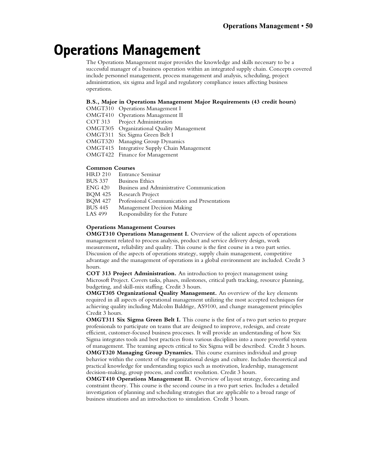# **Operations Management**

The Operations Management major provides the knowledge and skills necessary to be a successful manager of a business operation within an integrated supply chain. Concepts covered include personnel management, process management and analysis, scheduling, project administration, six sigma and legal and regulatory compliance issues affecting business operations.

### **B.S., Major in Operations Management Major Requirements (43 credit hours)**

OMGT310 Operations Management I

OMGT410 Operations Management II

- COT 313 Project Administration
- OMGT305 Organizational Quality Management
- OMGT311 Six Sigma Green Belt I
- OMGT320 Managing Group Dynamics
- OMGT415 Integrative Supply Chain Management
- OMGT422 Finance for Management

### **Common Courses**

| <b>HRD 210</b> | Entrance Seminar                             |
|----------------|----------------------------------------------|
| <b>BUS 337</b> | <b>Business Ethics</b>                       |
| <b>ENG 420</b> | Business and Administrative Communication    |
| <b>BOM 425</b> | Research Project                             |
| <b>BQM 427</b> | Professional Communication and Presentations |
| <b>BUS 445</b> | Management Decision Making                   |
| LAS 499        | Responsibility for the Future                |

### **Operations Management Courses**

**OMGT310 Operations Management I.** Overview of the salient aspects of operations management related to process analysis, product and service delivery design, work measurement**,** reliability and quality. This course is the first course in a two part series. Discussion of the aspects of operations strategy, supply chain management, competitive advantage and the management of operations in a global environment are included. Credit 3 hours.

**COT 313 Project Administration.** An introduction to project management using Microsoft Project. Covers tasks, phases, milestones, critical path tracking, resource planning, budgeting, and skill-mix staffing. Credit 3 hours.

**OMGT305 Organizational Quality Management.** An overview of the key elements required in all aspects of operational management utilizing the most accepted techniques for achieving quality including Malcolm Baldrige, AS9100, and change management principles Credit 3 hours.

**OMGT311 Six Sigma Green Belt I.** This course is the first of a two part series to prepare professionals to participate on teams that are designed to improve, redesign, and create efficient, customer-focused business processes. It will provide an understanding of how Six Sigma integrates tools and best practices from various disciplines into a more powerful system

of management. The teaming aspects critical to Six Sigma will be described. Credit 3 hours. **OMGT320 Managing Group Dynamics.** This course examines individual and group behavior within the context of the organizational design and culture. Includes theoretical and practical knowledge for understanding topics such as motivation, leadership, management decision-making, group process, and conflict resolution. Credit 3 hours.

**OMGT410 Operations Management II.** Overview of layout strategy, forecasting and constraint theory. This course is the second course in a two part series. Includes a detailed investigation of planning and scheduling strategies that are applicable to a broad range of business situations and an introduction to simulation. Credit 3 hours.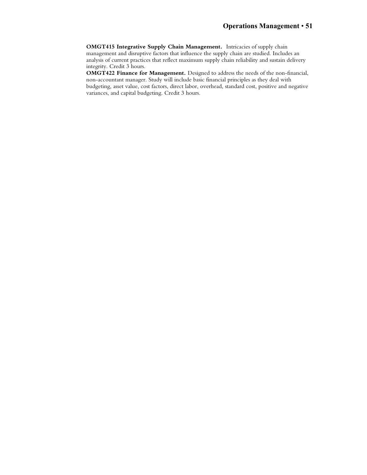**OMGT415 Integrative Supply Chain Management.** Intricacies of supply chain management and disruptive factors that influence the supply chain are studied. Includes an analysis of current practices that reflect maximum supply chain reliability and sustain delivery integrity. Credit 3 hours.

**OMGT422 Finance for Management.** Designed to address the needs of the non-financial, non-accountant manager. Study will include basic financial principles as they deal with budgeting, asset value, cost factors, direct labor, overhead, standard cost, positive and negative variances, and capital budgeting. Credit 3 hours.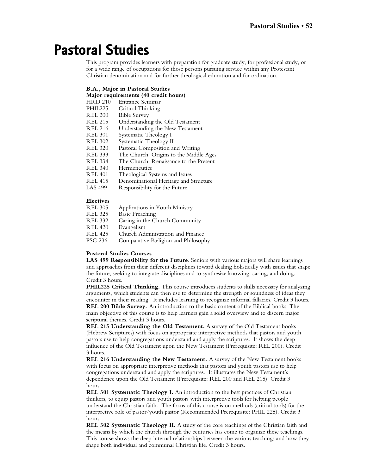# **Pastoral Studies**

This program provides learners with preparation for graduate study, for professional study, or for a wide range of occupations for those persons pursuing service within any Protestant Christian denomination and for further theological education and for ordination.

### **B.A., Major in Pastoral Studies**

## **Major requirements (40 credit hours)**

HRD 210 Entrance Seminar<br>PHIL225 Critical Thinking

- Critical Thinking
- REL 200 Bible Survey
- REL 215 Understanding the Old Testament<br>REL 216 Understanding the New Testamen
- Understanding the New Testament
- REL 301 Systematic Theology I<br>REL 302 Systematic Theology II
- REL 302 Systematic Theology II<br>REL 320 Pastoral Composition a
- Pastoral Composition and Writing
- REL 333 The Church: Origins to the Middle Ages
- REL 334 The Church: Renaissance to the Present<br>REL 340 Hermeneutics
- Hermeneutics
- REL 401 Theological Systems and Issues<br>REL 415 Denominational Heritage and 9
- REL 415 Denominational Heritage and Structure<br>LAS 499 Responsibility for the Future
- Responsibility for the Future

### **Electives**

| <b>REL 305</b> | Applications in Youth Ministry      |
|----------------|-------------------------------------|
| <b>REL 325</b> | <b>Basic Preaching</b>              |
| <b>REL 332</b> | Caring in the Church Community      |
| <b>REL 420</b> | Evangelism                          |
| <b>REL 425</b> | Church Administration and Finance   |
| <b>PSC 236</b> | Comparative Religion and Philosophy |

### **Pastoral Studies Courses**

**LAS 499 Responsibility for the Future**. Seniors with various majors will share learnings and approaches from their different disciplines toward dealing holistically with issues that shape the future, seeking to integrate disciplines and to synthesize knowing, caring, and doing. Credit 3 hours.

**PHIL225 Critical Thinking.** This course introduces students to skills necessary for analyzing arguments, which students can then use to determine the strength or soundness of ideas they encounter in their reading. It includes learning to recognize informal fallacies. Credit 3 hours. **REL 200 Bible Survey.** An introduction to the basic content of the Biblical books. The main objective of this course is to help learners gain a solid overview and to discern major scriptural themes. Credit 3 hours.

**REL 215 Understanding the Old Testament.** A survey of the Old Testament books (Hebrew Scriptures) with focus on appropriate interpretive methods that pastors and youth pastors use to help congregations understand and apply the scriptures. It shows the deep influence of the Old Testament upon the New Testament (Prerequisite: REL 200). Credit 3 hours.

**REL 216 Understanding the New Testament.** A survey of the New Testament books with focus on appropriate interpretive methods that pastors and youth pastors use to help congregations understand and apply the scriptures. It illustrates the New Testament's dependence upon the Old Testament (Prerequisite: REL 200 and REL 215). Credit 3 hours.

**REL 301 Systematic Theology I.** An introduction to the best practices of Christian thinkers, to equip pastors and youth pastors with interpretive tools for helping people understand the Christian faith. The focus of this course is on methods (critical tools) for the interpretive role of pastor/youth pastor (Recommended Prerequisite: PHIL 225). Credit 3 hours.

**REL 302 Systematic Theology II.** A study of the core teachings of the Christian faith and the means by which the church through the centuries has come to organize these teachings. This course shows the deep internal relationships between the various teachings and how they shape both individual and communal Christian life. Credit 3 hours.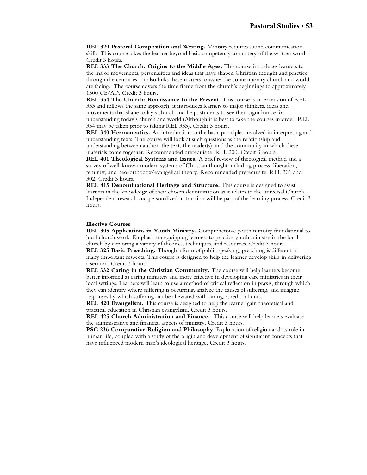**REL 320 Pastoral Composition and Writing.** Ministry requires sound communication skills. This course takes the learner beyond basic competency to mastery of the written word. Credit 3 hours.

**REL 333 The Church: Origins to the Middle Ages.** This course introduces learners to the major movements, personalities and ideas that have shaped Christian thought and practice through the centuries. It also links these matters to issues the contemporary church and world are facing. The course covers the time frame from the church's beginnings to approximately 1300 CE/AD. Credit 3 hours.

**REL 334 The Church: Renaissance to the Present.** This course is an extension of REL 333 and follows the same approach; it introduces learners to major thinkers, ideas and movements that shape today's church and helps students to see their significance for understanding today's church and world (Although it is best to take the courses in order, REL 334 may be taken prior to taking REL 333). Credit 3 hours.

**REL 340 Hermeneutics.** An introduction to the basic principles involved in interpreting and understanding texts. The course will look at such questions as the relationship and understanding between author, the text, the reader(s), and the community in which these materials come together. Recommended prerequisite: REL 200. Credit 3 hours.

**REL 401 Theological Systems and Issues.** A brief review of theological method and a survey of well-known modern systems of Christian thought including process, liberation, feminist, and neo-orthodox/evangelical theory. Recommended prerequisite: REL 301 and 302. Credit 3 hours.

**REL 415 Denominational Heritage and Structure.** This course is designed to assist learners in the knowledge of their chosen denomination as it relates to the universal Church. Independent research and personalized instruction will be part of the learning process. Credit 3 hours.

### **Elective Courses**

**REL 305 Applications in Youth Ministry.** Comprehensive youth ministry foundational to local church work. Emphasis on equipping learners to practice youth ministry in the local church by exploring a variety of theories, techniques, and resources. Credit 3 hours.

**REL 325 Basic Preaching.** Though a form of public speaking, preaching is different in many important respects. This course is designed to help the learner develop skills in delivering a sermon. Credit 3 hours.

**REL 332 Caring in the Christian Community.** The course will help learners become better informed as caring ministers and more effective in developing care ministries in their local settings. Learners will learn to use a method of critical reflection in praxis, through which they can identify where suffering is occurring, analyze the causes of suffering, and imagine responses by which suffering can be alleviated with caring. Credit 3 hours.

**REL 420 Evangelism.** This course is designed to help the learner gain theoretical and practical education in Christian evangelism. Credit 3 hours.

**REL 425 Church Administration and Finance.** This course will help learners evaluate the administrative and financial aspects of ministry. Credit 3 hours.

**PSC 236 Comparative Religion and Philosophy**. Exploration of religion and its role in human life, coupled with a study of the origin and development of significant concepts that have influenced modern man's ideological heritage. Credit 3 hours.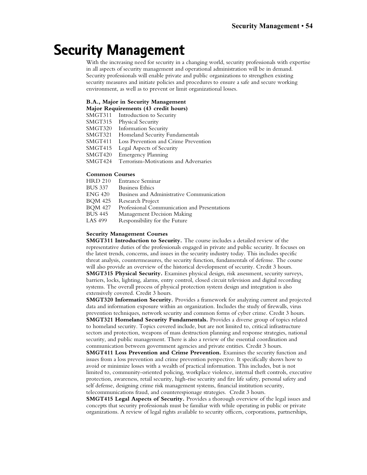## **Security Management**

With the increasing need for security in a changing world, security professionals with expertise in all aspects of security management and operational administration will be in demand. Security professionals will enable private and public organizations to strengthen existing security measures and initiate policies and procedures to ensure a safe and secure working environment, as well as to prevent or limit organizational losses.

### **B.A., Major in Security Management**

**Major Requirements (43 credit hours)**

SMGT311 Introduction to Security

SMGT315 Physical Security<br>SMGT320 Information Secu

**Information Security** 

SMGT321 Homeland Security Fundamentals

- SMGT411 Loss Prevention and Crime Prevention<br>SMGT415 Legal Aspects of Security
- Legal Aspects of Security
- SMGT420 Emergency Planning
- SMGT424 Terrorism-Motivations and Adversaries

## **Common Courses**

- HRD 210 Entrance Seminar<br>BUS 337 Business Ethics
- **Business Ethics**
- ENG 420 Business and Administrative Communication
- BQM 425 Research Project<br>BOM 427 Professional Com
- BQM 427 Professional Communication and Presentations<br>BUS 445 Management Decision Making
- BUS 445 Management Decision Making<br>LAS 499 Responsibility for the Future
- Responsibility for the Future

### **Security Management Courses**

**SMGT311 Introduction to Security.** The course includes a detailed review of the representative duties of the professionals engaged in private and public security. It focuses on the latest trends, concerns, and issues in the security industry today. This includes specific threat analysis, countermeasures, the security function, fundamentals of defense. The course will also provide an overview of the historical development of security. Credit 3 hours. **SMGT315 Physical Security.** Examines physical design, risk assessment, security surveys, barriers, locks, lighting, alarms, entry control, closed circuit television and digital recording systems. The overall process of physical protection system design and integration is also extensively covered. Credit 3 hours.

**SMGT320 Information Security.** Provides a framework for analyzing current and projected data and information exposure within an organization. Includes the study of firewalls, virus prevention techniques, network security and common forms of cyber crime. Credit 3 hours. **SMGT321 Homeland Security Fundamentals.** Provides a diverse group of topics related to homeland security. Topics covered include, but are not limited to, critical infrastructure sectors and protection, weapons of mass destruction planning and response strategies, national security, and public management. There is also a review of the essential coordination and communication between government agencies and private entities. Credit 3 hours.

**SMGT411 Loss Prevention and Crime Prevention.** Examines the security function and issues from a loss prevention and crime prevention perspective. It specifically shows how to avoid or minimize losses with a wealth of practical information. This includes, but is not limited to, community-oriented policing, workplace violence, internal theft controls, executive protection, awareness, retail security, high-rise security and fire life safety, personal safety and self defense, designing crime risk management systems, financial institution security, telecommunications fraud, and counterespionage strategies. Credit 3 hours.

**SMGT415 Legal Aspects of Security.** Provides a thorough overview of the legal issues and concepts that security professionals must be familiar with while operating in public or private organizations. A review of legal rights available to security officers, corporations, partnerships,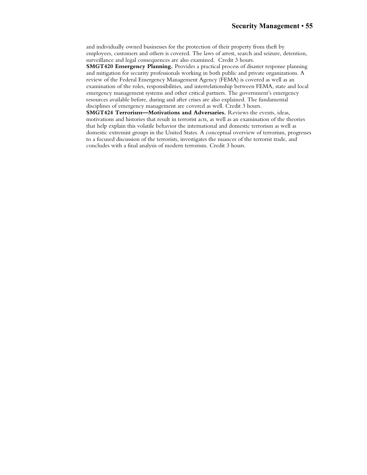and individually owned businesses for the protection of their property from theft by employees, customers and others is covered. The laws of arrest, search and seizure, detention, surveillance and legal consequences are also examined. Credit 3 hours.

**SMGT420 Emergency Planning.** Provides a practical process of disaster response planning and mitigation for security professionals working in both public and private organizations. A review of the Federal Emergency Management Agency (FEMA) is covered as well as an examination of the roles, responsibilities, and interrelationship between FEMA, state and local emergency management systems and other critical partners. The government's emergency resources available before, during and after crises are also explained. The fundamental disciplines of emergency management are covered as well. Credit 3 hours.

**SMGT424 Terrorism—Motivations and Adversaries.** Reviews the events, ideas, motivations and histories that result in terrorist acts, as well as an examination of the theories that help explain this volatile behavior the international and domestic terrorism as well as domestic extremist groups in the United States. A conceptual overview of terrorism, progresses to a focused discussion of the terrorists, investigates the nuances of the terrorist trade, and concludes with a final analysis of modern terrorism. Credit 3 hours.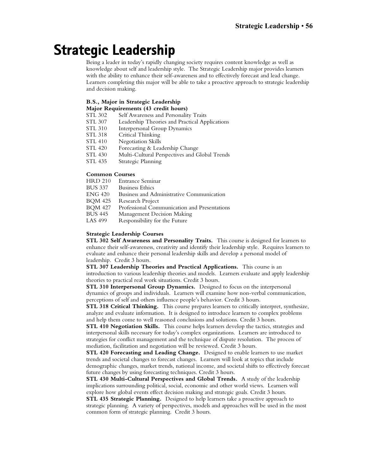## **Strategic Leadership**

Being a leader in today's rapidly changing society requires content knowledge as well as knowledge about self and leadership style. The Strategic Leadership major provides learners with the ability to enhance their self-awareness and to effectively forecast and lead change. Learners completing this major will be able to take a proactive approach to strategic leadership and decision making.

## **B.S., Major in Strategic Leadership**

- **Major Requirements (43 credit hours)**
- STL 302 Self Awareness and Personality Traits
- STL 307 Leadership Theories and Practical Applications<br>STL 310 Interpersonal Group Dynamics
- Interpersonal Group Dynamics
- STL 318 Critical Thinking<br>STL 410 Negotiation Skills
- STL 410 Negotiation Skills<br>STL 420 Forecasting & Lea
- Forecasting & Leadership Change
- STL 430 Multi-Cultural Perspectives and Global Trends
- STL 435 Strategic Planning

## **Common Courses**

- HRD 210 Entrance Seminar<br>BUS 337 Business Ethics
- **Business Ethics**
- ENG 420 Business and Administrative Communication
- BQM 425 Research Project<br>BOM 427 Professional Com
- BQM 427 Professional Communication and Presentations<br>BUS 445 Management Decision Making
- BUS 445 Management Decision Making<br>LAS 499 Responsibility for the Future
- Responsibility for the Future

### **Strategic Leadership Courses**

**STL 302 Self Awareness and Personality Traits.** This course is designed for learners to enhance their self-awareness, creativity and identify their leadership style. Requires learners to evaluate and enhance their personal leadership skills and develop a personal model of leadership. Credit 3 hours.

**STL 307 Leadership Theories and Practical Applications.** This course is an introduction to various leadership theories and models. Learners evaluate and apply leadership theories to practical real work situations. Credit 3 hours.

**STL 310 Interpersonal Group Dynamics.** Designed to focus on the interpersonal dynamics of groups and individuals. Learners will examine how non-verbal communication, perceptions of self and others influence people's behavior. Credit 3 hours.

**STL 318 Critical Thinking.** This course prepares learners to critically interpret, synthesize, analyze and evaluate information. It is designed to introduce learners to complex problems and help them come to well reasoned conclusions and solutions. Credit 3 hours.

**STL 410 Negotiation Skills.** This course helps learners develop the tactics, strategies and interpersonal skills necessary for today's complex organizations. Learners are introduced to strategies for conflict management and the technique of dispute resolution. The process of mediation, facilitation and negotiation will be reviewed. Credit 3 hours.

**STL 420 Forecasting and Leading Change.** Designed to enable learners to use market trends and societal changes to forecast changes. Learners will look at topics that include demographic changes, market trends, national income, and societal shifts to effectively forecast future changes by using forecasting techniques. Credit 3 hours.

**STL 430 Multi-Cultural Perspectives and Global Trends.** A study of the leadership implications surrounding political, social, economic and other world views. Learners will explore how global events effect decision making and strategic goals. Credit 3 hours.

**STL 435 Strategic Planning.** Designed to help learners take a proactive approach to strategic planning. A variety of perspectives, models and approaches will be used in the most common form of strategic planning. Credit 3 hours.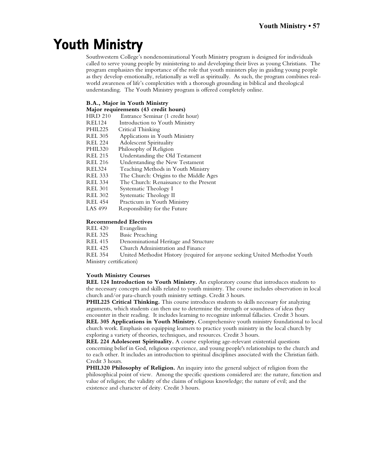# **Youth Ministry**

Southwestern College's nondenominational Youth Ministry program is designed for individuals called to serve young people by ministering to and developing their lives as young Christians. The program emphasizes the importance of the role that youth ministers play in guiding young people as they develop emotionally, relationally as well as spiritually. As such, the program combines realworld awareness of life's complexities with a thorough grounding in biblical and theological understanding. The Youth Ministry program is offered completely online.

### **B.A., Major in Youth Ministry**

| Major requirements (43 credit hours) |  |  |
|--------------------------------------|--|--|
|                                      |  |  |

- HRD 210 Entrance Seminar (1 credit hour)<br>REL124 Introduction to Youth Ministry
- REL124 Introduction to Youth Ministry<br>PHIL225 Critical Thinking
- PHIL225 Critical Thinking<br>REL 305 Applications in Y
- Applications in Youth Ministry
- REL 224 Adolescent Spirituality<br>PHIL320 Philosophy of Religion
- PHIL320 Philosophy of Religion<br>REL 215 Understanding the Old
- Understanding the Old Testament
- REL 216 Understanding the New Testament<br>REL324 Teaching Methods in Youth Minist
- Teaching Methods in Youth Ministry
- REL 333 The Church: Origins to the Middle Ages
- REL 334 The Church: Renaissance to the Present
- REL 301 Systematic Theology I<br>REL 302 Systematic Theology II
- REL 302 Systematic Theology II<br>REL 454 Practicum in Youth Mi
- Practicum in Youth Ministry
- LAS 499 Responsibility for the Future

### **Recommended Electives**

- REL 420 Evangelism<br>REL 325 Basic Preach
- REL 325 Basic Preaching<br>REL 415 Denominational
- Denominational Heritage and Structure
- REL 425 Church Administration and Finance<br>REL 354 United Methodist History (required

United Methodist History (required for anyone seeking United Methodist Youth Ministry certification)

### **Youth Ministry Courses**

**REL 124 Introduction to Youth Ministry.** An exploratory course that introduces students to the necessary concepts and skills related to youth ministry. The course includes observation in local church and/or para-church youth ministry settings. Credit 3 hours.

**PHIL225 Critical Thinking.** This course introduces students to skills necessary for analyzing arguments, which students can then use to determine the strength or soundness of ideas they encounter in their reading. It includes learning to recognize informal fallacies. Credit 3 hours. **REL 305 Applications in Youth Ministry.** Comprehensive youth ministry foundational to local church work. Emphasis on equipping learners to practice youth ministry in the local church by exploring a variety of theories, techniques, and resources. Credit 3 hours.

**REL 224 Adolescent Spirituality.** A course exploring age-relevant existential questions concerning belief in God, religious experience, and young people's relationships to the church and to each other. It includes an introduction to spiritual disciplines associated with the Christian faith. Credit 3 hours.

**PHIL320 Philosophy of Religion.** An inquiry into the general subject of religion from the philosophical point of view. Among the specific questions considered are: the nature, function and value of religion; the validity of the claims of religious knowledge; the nature of evil; and the existence and character of deity. Credit 3 hours.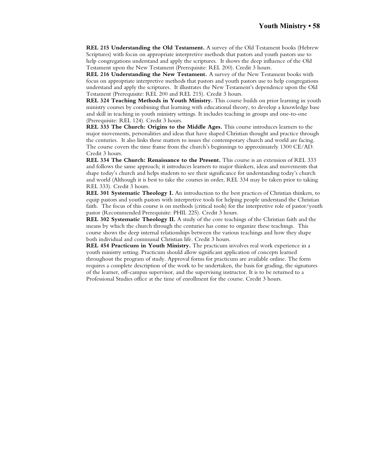**REL 215 Understanding the Old Testament.** A survey of the Old Testament books (Hebrew Scriptures) with focus on appropriate interpretive methods that pastors and youth pastors use to help congregations understand and apply the scriptures. It shows the deep influence of the Old Testament upon the New Testament (Prerequisite: REL 200). Credit 3 hours.

**REL 216 Understanding the New Testament.** A survey of the New Testament books with focus on appropriate interpretive methods that pastors and youth pastors use to help congregations understand and apply the scriptures. It illustrates the New Testament's dependence upon the Old Testament (Prerequisite: REL 200 and REL 215). Credit 3 hours.

**REL 324 Teaching Methods in Youth Ministry.** This course builds on prior learning in youth ministry courses by combining that learning with educational theory, to develop a knowledge base and skill in teaching in youth ministry settings. It includes teaching in groups and one-to-one (Prerequisite: REL 124). Credit 3 hours.

**REL 333 The Church: Origins to the Middle Ages.** This course introduces learners to the major movements, personalities and ideas that have shaped Christian thought and practice through the centuries. It also links these matters to issues the contemporary church and world are facing. The course covers the time frame from the church's beginnings to approximately 1300 CE/AD. Credit 3 hours.

**REL 334 The Church: Renaissance to the Present.** This course is an extension of REL 333 and follows the same approach; it introduces learners to major thinkers, ideas and movements that shape today's church and helps students to see their significance for understanding today's church and world (Although it is best to take the courses in order, REL 334 may be taken prior to taking REL 333). Credit 3 hours.

**REL 301 Systematic Theology I.** An introduction to the best practices of Christian thinkers, to equip pastors and youth pastors with interpretive tools for helping people understand the Christian faith. The focus of this course is on methods (critical tools) for the interpretive role of pastor/youth pastor (Recommended Prerequisite: PHIL 225). Credit 3 hours.

**REL 302 Systematic Theology II.** A study of the core teachings of the Christian faith and the means by which the church through the centuries has come to organize these teachings. This course shows the deep internal relationships between the various teachings and how they shape both individual and communal Christian life. Credit 3 hours.

**REL 454 Practicum in Youth Ministry.** The practicum involves real work experience in a youth ministry setting. Practicum should allow significant application of concepts learned throughout the program of study. Approval forms for practicum are available online. The form requires a complete description of the work to be undertaken, the basis for grading, the signatures of the learner, off-campus supervisor, and the supervising instructor. It is to be returned to a Professional Studies office at the time of enrollment for the course. Credit 3 hours.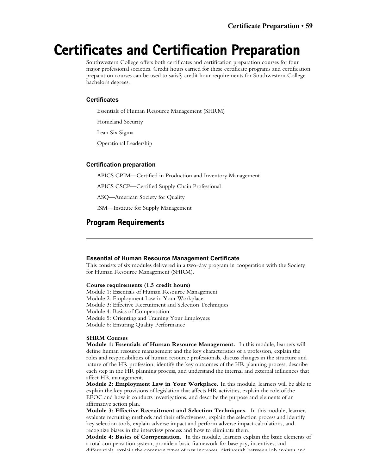## **Certificates and Certification Preparation**

Southwestern College offers both certificates and certification preparation courses for four major professional societies. Credit hours earned for these certificate programs and certification preparation courses can be used to satisfy credit hour requirements for Southwestern College bachelor's degrees.

### **Certificates**

Essentials of Human Resource Management (SHRM)

Homeland Security

Lean Six Sigma

Operational Leadership

### **Certification preparation**

APICS CPIM—Certified in Production and Inventory Management

APICS CSCP—Certified Supply Chain Professional

ASQ—American Society for Quality

ISM—Institute for Supply Management

### **Program Requirements**

### **Essential of Human Resource Management Certificate**

This consists of six modules delivered in a two-day program in cooperation with the Society for Human Resource Management (SHRM).

### **Course requirements (1.5 credit hours)**

Module 1: Essentials of Human Resource Management

Module 2: Employment Law in Your Workplace

Module 3: Effective Recruitment and Selection Techniques

Module 4: Basics of Compensation

Module 5: Orienting and Training Your Employees

Module 6: Ensuring Quality Performance

### **SHRM Courses**

**Module 1: Essentials of Human Resource Management.** In this module, learners will define human resource management and the key characteristics of a profession, explain the roles and responsibilities of human resource professionals, discuss changes in the structure and nature of the HR profession, identify the key outcomes of the HR planning process, describe each step in the HR planning process, and understand the internal and external influences that affect HR management.

**Module 2: Employment Law in Your Workplace.** In this module, learners will be able to explain the key provisions of legislation that affects HR activities, explain the role of the EEOC and how it conducts investigations, and describe the purpose and elements of an affirmative action plan.

**Module 3: Effective Recruitment and Selection Techniques.** In this module, learners evaluate recruiting methods and their effectiveness, explain the selection process and identify key selection tools, explain adverse impact and perform adverse impact calculations, and recognize biases in the interview process and how to eliminate them.

**Module 4: Basics of Compensation.** In this module, learners explain the basic elements of a total compensation system, provide a basic framework for base pay, incentives, and differentials, explain the common types of pay increases, distinguish between job analysis and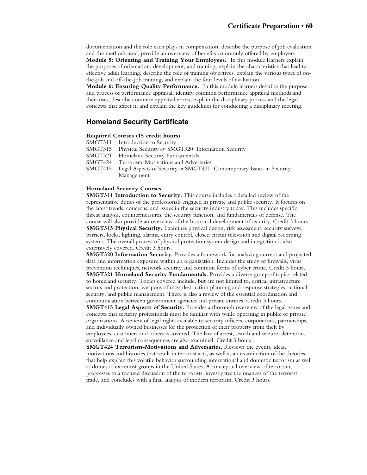documentation and the role each plays in compensation, describe the purpose of job evaluation and the methods used, provide an overview of benefits commonly offered by employers. **Module 5: Orienting and Training Your Employees.** In this module learners explain the purposes of orientation, development, and training, explain the characteristics that lead to effective adult learning, describe the role of training objectives, explain the various types of onthe-job and off-the-job training, and explain the four levels of evaluation.

**Module 6: Ensuring Quality Performance.** In this module learners describe the purpose and process of performance appraisal, identify common performance appraisal methods and their uses, describe common appraisal errors, explain the disciplinary process and the legal concepts that affect it, and explain the key guidelines for conducting a disciplinary meeting.

### **Homeland Security Certificate**

### **Required Courses (15 credit hours)**

- SMGT311 Introduction to Security<br>SMGT315 Physical Security or SM
- Physical Security or **SMGT320** Information Security
- SMGT321 Homeland Security Fundamentals<br>SMGT424 Terrorism-Motivations and Adver
- SMGT424 Terrorism-Motivations and Adversaries<br>SMGT415 Legal Aspects of Security or SMGT430
- Legal Aspects of Security or SMGT430 Contemporary Issues in Security Management

### **Homeland Security Courses**

**SMGT311 Introduction to Security.** This course includes a detailed review of the representative duties of the professionals engaged in private and public security. It focuses on the latest trends, concerns, and issues in the security industry today. This includes specific threat analysis, countermeasures, the security function, and fundamentals of defense. The course will also provide an overview of the historical development of security. Credit 3 hours. **SMGT315 Physical Security.** Examines physical design, risk assessment, security surveys, barriers, locks, lighting, alarms, entry control, closed circuit television and digital recording systems. The overall process of physical protection system design and integration is also extensively covered. Credit 3 hours.

**SMGT320 Information Security.** Provides a framework for analyzing current and projected data and information exposure within an organization. Includes the study of firewalls, virus prevention techniques, network security and common forms of cyber crime. Credit 3 hours. **SMGT321 Homeland Security Fundamentals.** Provides a diverse group of topics related to homeland security. Topics covered include, but are not limited to, critical infrastructure sectors and protection, weapons of mass destruction planning and response strategies, national security, and public management. There is also a review of the essential coordination and

communication between government agencies and private entities. Credit 3 hours. **SMGT415 Legal Aspects of Security.** Provides a thorough overview of the legal issues and concepts that security professionals must be familiar with while operating in public or private organizations. A review of legal rights available to security officers, corporations, partnerships, and individually owned businesses for the protection of their property from theft by employees, customers and others is covered. The law of arrest, search and seizure, detention, surveillance and legal consequences are also examined. Credit 3 hours.

**SMGT424 Terrorism-Motivations and Adversaries.** Reviews the events, ideas, motivations and histories that result in terrorist acts, as well as an examination of the theories that help explain this volatile behavior surrounding international and domestic terrorism as well as domestic extremist groups in the United States. A conceptual overview of terrorism, progresses to a focused discussion of the terrorists, investigates the nuances of the terrorist trade, and concludes with a final analysis of modern terrorism. Credit 3 hours.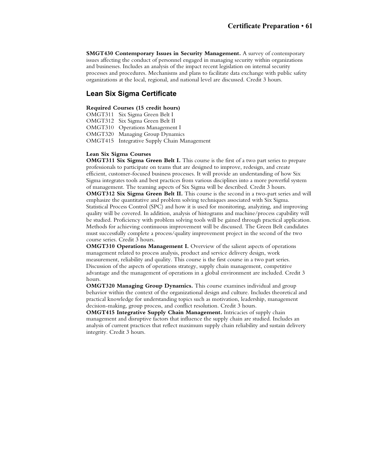**SMGT430 Contemporary Issues in Security Management.** A survey of contemporary issues affecting the conduct of personnel engaged in managing security within organizations and businesses. Includes an analysis of the impact recent legislation on internal security processes and procedures. Mechanisms and plans to facilitate data exchange with public safety organizations at the local, regional, and national level are discussed. Credit 3 hours.

### **Lean Six Sigma Certificate**

### **Required Courses (15 credit hours)**

OMGT311 Six Sigma Green Belt I

OMGT312 Six Sigma Green Belt II

OMGT310 Operations Management I

OMGT320 Managing Group Dynamics

OMGT415 Integrative Supply Chain Management

### **Lean Six Sigma Courses**

**OMGT311 Six Sigma Green Belt I.** This course is the first of a two part series to prepare professionals to participate on teams that are designed to improve, redesign, and create efficient, customer-focused business processes. It will provide an understanding of how Six Sigma integrates tools and best practices from various disciplines into a more powerful system of management. The teaming aspects of Six Sigma will be described. Credit 3 hours. **OMGT312 Six Sigma Green Belt II.** This course is the second in a two-part series and will emphasize the quantitative and problem solving techniques associated with Six Sigma. Statistical Process Control (SPC) and how it is used for monitoring, analyzing, and improving quality will be covered. In addition, analysis of histograms and machine/process capability will be studied. Proficiency with problem solving tools will be gained through practical application. Methods for achieving continuous improvement will be discussed. The Green Belt candidates must successfully complete a process/quality improvement project in the second of the two course series. Credit 3 hours.

**OMGT310 Operations Management I.** Overview of the salient aspects of operations management related to process analysis, product and service delivery design, work measurement, reliability and quality. This course is the first course in a two part series. Discussion of the aspects of operations strategy, supply chain management, competitive advantage and the management of operations in a global environment are included. Credit 3 hours.

**OMGT320 Managing Group Dynamics.** This course examines individual and group behavior within the context of the organizational design and culture. Includes theoretical and practical knowledge for understanding topics such as motivation, leadership, management decision-making, group process, and conflict resolution. Credit 3 hours.

**OMGT415 Integrative Supply Chain Management.** Intricacies of supply chain management and disruptive factors that influence the supply chain are studied. Includes an analysis of current practices that reflect maximum supply chain reliability and sustain delivery integrity. Credit 3 hours.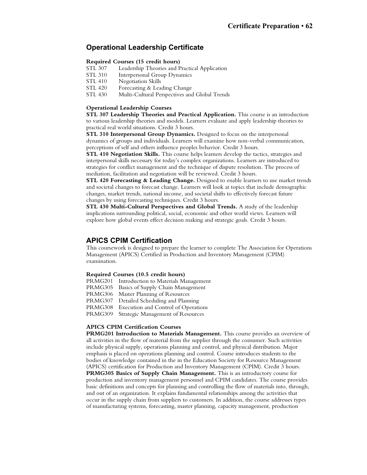### **Operational Leadership Certificate**

### **Required Courses (15 credit hours)**

- STL 307 Leadership Theories and Practical Application<br>STL 310 Interpersonal Group Dynamics
- Interpersonal Group Dynamics
- STL 410 Negotiation Skills
- STL 420 Forecasting & Leading Change<br>STL 430 Multi-Cultural Perspectives and
- Multi-Cultural Perspectives and Global Trends

### **Operational Leadership Courses**

**STL 307 Leadership Theories and Practical Application.** This course is an introduction to various leadership theories and models. Learners evaluate and apply leadership theories to practical real world situations. Credit 3 hours.

**STL 310 Interpersonal Group Dynamics.** Designed to focus on the interpersonal dynamics of groups and individuals. Learners will examine how non-verbal communication, perceptions of self and others influence peoples behavior. Credit 3 hours.

**STL 410 Negotiation Skills.** This course helps learners develop the tactics, strategies and interpersonal skills necessary for today's complex organizations. Learners are introduced to strategies for conflict management and the technique of dispute resolution. The process of mediation, facilitation and negotiation will be reviewed. Credit 3 hours.

**STL 420 Forecasting & Leading Change.** Designed to enable learners to use market trends and societal changes to forecast change. Learners will look at topics that include demographic changes, market trends, national income, and societal shifts to effectively forecast future changes by using forecasting techniques. Credit 3 hours.

**STL 430 Multi-Cultural Perspectives and Global Trends.** A study of the leadership implications surrounding political, social, economic and other world views. Learners will explore how global events effect decision making and strategic goals. Credit 3 hours.

### **APICS CPIM Certification**

This coursework is designed to prepare the learner to complete The Association for Operations Management (APICS) Certified in Production and Inventory Management (CPIM) examination.

#### **Required Courses (10.5 credit hours)**

- PRMG201 Introduction to Materials Management
- PRMG305 Basics of Supply Chain Management
- PRMG306 Master Planning of Resources
- PRMG307 Detailed Scheduling and Planning
- PRMG308 Execution and Control of Operations

PRMG309 Strategic Management of Resources

### **APICS CPIM Certification Courses**

**PRMG201 Introduction to Materials Management.** This course provides an overview of all activities in the flow of material from the supplier through the consumer. Such activities include physical supply, operations planning and control, and physical distribution. Major emphasis is placed on operations planning and control. Course introduces students to the bodies of knowledge contained in the in the Education Society for Resource Management (APICS) certification for Production and Inventory Management (CPIM). Credit 3 hours. **PRMG305 Basics of Supply Chain Management.** This is an introductory course for production and inventory management personnel and CPIM candidates. The course provides basic definitions and concepts for planning and controlling the flow of materials into, through, and out of an organization. It explains fundamental relationships among the activities that occur in the supply chain from suppliers to customers. In addition, the course addresses types of manufacturing systems, forecasting, master planning, capacity management, production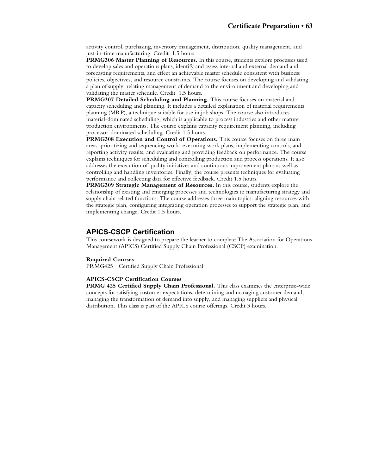activity control, purchasing, inventory management, distribution, quality management, and just-in-time manufacturing. Credit 1.5 hours.

**PRMG306 Master Planning of Resources.** In this course, students explore processes used to develop sales and operations plans, identify and assess internal and external demand and forecasting requirements, and effect an achievable master schedule consistent with business policies, objectives, and resource constraints. The course focuses on developing and validating a plan of supply, relating management of demand to the environment and developing and validating the master schedule. Credit 1.5 hours.

**PRMG307 Detailed Scheduling and Planning.** This course focuses on material and capacity scheduling and planning. It includes a detailed explanation of material requirements planning (MRP), a technique suitable for use in job shops. The course also introduces material-dominated scheduling, which is applicable to process industries and other mature production environments. The course explains capacity requirement planning, including processor-dominated scheduling. Credit 1.5 hours.

**PRMG308 Execution and Control of Operations.** This course focuses on three main areas: prioritizing and sequencing work, executing work plans, implementing controls, and reporting activity results, and evaluating and providing feedback on performance. The course explains techniques for scheduling and controlling production and process operations. It also addresses the execution of quality initiatives and continuous improvement plans as well as controlling and handling inventories. Finally, the course presents techniques for evaluating performance and collecting data for effective feedback. Credit 1.5 hours.

**PRMG309 Strategic Management of Resources.** In this course, students explore the relationship of existing and emerging processes and technologies to manufacturing strategy and supply chain related functions. The course addresses three main topics: aligning resources with the strategic plan, configuring integrating operation processes to support the strategic plan, and implementing change. Credit 1.5 hours.

### **APICS-CSCP Certification**

This coursework is designed to prepare the learner to complete The Association for Operations Management (APICS) Certified Supply Chain Professional (CSCP) examination.

### **Required Courses**

PRMG425 Certified Supply Chain Professional

### **APICS-CSCP Certification Courses**

**PRMG 425 Certified Supply Chain Professional.** This class examines the enterprise-wide concepts for satisfying customer expectations, determining and managing customer demand, managing the transformation of demand into supply, and managing suppliers and physical distribution. This class is part of the APICS course offerings. Credit 3 hours.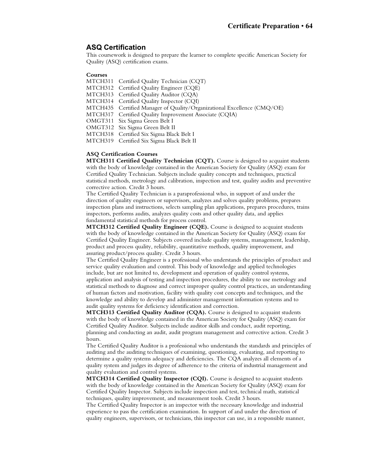### **ASQ Certification**

This coursework is designed to prepare the learner to complete specific American Society for Quality (ASQ) certification exams.

### **Courses**

- MTCH311 Certified Quality Technician (CQT)
- MTCH312 Certified Quality Engineer (CQE)
- MTCH313 Certified Quality Auditor (CQA)
- MTCH314 Certified Quality Inspector (CQI)
- MTCH435 Certified Manager of Quality/Organizational Excellence (CMQ/OE)
- MTCH317 Certified Quality Improvement Associate (CQIA)
- OMGT311 Six Sigma Green Belt I
- OMGT312 Six Sigma Green Belt II
- MTCH318 Certified Six Sigma Black Belt I
- MTCH319 Certified Six Sigma Black Belt II

### **ASQ Certification Courses**

**MTCH311 Certified Quality Technician (CQT).** Course is designed to acquaint students with the body of knowledge contained in the American Society for Quality (ASQ) exam for Certified Quality Technician. Subjects include quality concepts and techniques, practical statistical methods, metrology and calibration, inspection and test, quality audits and preventive corrective action. Credit 3 hours.

The Certified Quality Technician is a paraprofessional who, in support of and under the direction of quality engineers or supervisors, analyzes and solves quality problems, prepares inspection plans and instructions, selects sampling plan applications, prepares procedures, trains inspectors, performs audits, analyzes quality costs and other quality data, and applies fundamental statistical methods for process control.

**MTCH312 Certified Quality Engineer (CQE).** Course is designed to acquaint students with the body of knowledge contained in the American Society for Quality (ASQ) exam for Certified Quality Engineer. Subjects covered include quality systems, management, leadership, product and process quality, reliability, quantitative methods, quality improvement, and assuring product/process quality. Credit 3 hours.

The Certified Quality Engineer is a professional who understands the principles of product and service quality evaluation and control. This body of knowledge and applied technologies include, but are not limited to, development and operation of quality control systems, application and analysis of testing and inspection procedures, the ability to use metrology and statistical methods to diagnose and correct improper quality control practices, an understanding of human factors and motivation, facility with quality cost concepts and techniques, and the knowledge and ability to develop and administer management information systems and to audit quality systems for deficiency identification and correction.

**MTCH313 Certified Quality Auditor (CQA).** Course is designed to acquaint students with the body of knowledge contained in the American Society for Quality (ASQ) exam for Certified Quality Auditor. Subjects include auditor skills and conduct, audit reporting, planning and conducting an audit, audit program management and corrective action. Credit 3 hours.

The Certified Quality Auditor is a professional who understands the standards and principles of auditing and the auditing techniques of examining, questioning, evaluating, and reporting to determine a quality systems adequacy and deficiencies. The CQA analyzes all elements of a quality system and judges its degree of adherence to the criteria of industrial management and quality evaluation and control systems.

**MTCH314 Certified Quality Inspector (CQI).** Course is designed to acquaint students with the body of knowledge contained in the American Society for Quality (ASQ) exam for Certified Quality Inspector. Subjects include inspection and test, technical math, statistical techniques, quality improvement, and measurement tools. Credit 3 hours.

The Certified Quality Inspector is an inspector with the necessary knowledge and industrial experience to pass the certification examination. In support of and under the direction of quality engineers, supervisors, or technicians, this inspector can use, in a responsible manner,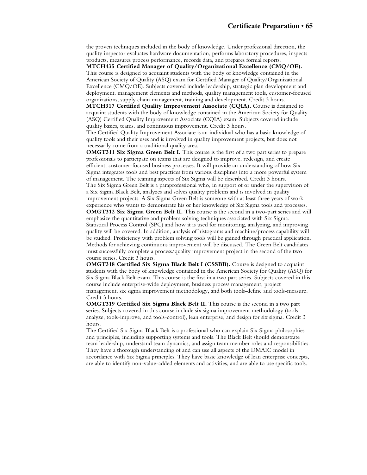the proven techniques included in the body of knowledge. Under professional direction, the quality inspector evaluates hardware documentation, performs laboratory procedures, inspects products, measures process performance, records data, and prepares formal reports.

**MTCH435 Certified Manager of Quality/Organizational Excellence (CMQ/OE).** This course is designed to acquaint students with the body of knowledge contained in the American Society of Quality (ASQ) exam for Certified Manager of Quality/Organizational Excellence (CMQ/OE). Subjects covered include leadership, strategic plan development and deployment, management elements and methods, quality management tools, customer-focused organizations, supply chain management, training and development. Credit 3 hours.

**MTCH317 Certified Quality Improvement Associate (CQIA).** Course is designed to acquaint students with the body of knowledge contained in the American Society for Quality (ASQ) Certified Quality Improvement Associate (CQIA) exam. Subjects covered include quality basics, teams, and continuous improvement. Credit 3 hours.

The Certified Quality Improvement Associate is an individual who has a basic knowledge of quality tools and their uses and is involved in quality improvement projects, but does not necessarily come from a traditional quality area.

**OMGT311 Six Sigma Green Belt I.** This course is the first of a two part series to prepare professionals to participate on teams that are designed to improve, redesign, and create efficient, customer-focused business processes. It will provide an understanding of how Six Sigma integrates tools and best practices from various disciplines into a more powerful system of management. The teaming aspects of Six Sigma will be described. Credit 3 hours. The Six Sigma Green Belt is a paraprofessional who, in support of or under the supervision of a Six Sigma Black Belt, analyzes and solves quality problems and is involved in quality improvement projects. A Six Sigma Green Belt is someone with at least three years of work

experience who wants to demonstrate his or her knowledge of Six Sigma tools and processes. **OMGT312 Six Sigma Green Belt II.** This course is the second in a two-part series and will emphasize the quantitative and problem solving techniques associated with Six Sigma. Statistical Process Control (SPC) and how it is used for monitoring, analyzing, and improving quality will be covered. In addition, analysis of histograms and machine/process capability will be studied. Proficiency with problem solving tools will be gained through practical application. Methods for achieving continuous improvement will be discussed. The Green Belt candidates must successfully complete a process/quality improvement project in the second of the two course series. Credit 3 hours.

**OMGT318 Certified Six Sigma Black Belt I (CSSBB).** Course is designed to acquaint students with the body of knowledge contained in the American Society for Quality (ASQ) for Six Sigma Black Belt exam. This course is the first in a two part series. Subjects covered in this course include enterprise-wide deployment, business process management, project management, six sigma improvement methodology, and both tools-define and tools-measure. Credit 3 hours.

**OMGT319 Certified Six Sigma Black Belt II.** This course is the second in a two part series. Subjects covered in this course include six sigma improvement methodology (toolsanalyze, tools-improve, and tools-control), lean enterprise, and design for six sigma. Credit 3 hours.

The Certified Six Sigma Black Belt is a professional who can explain Six Sigma philosophies and principles, including supporting systems and tools. The Black Belt should demonstrate team leadership, understand team dynamics, and assign team member roles and responsibilities. They have a thorough understanding of and can use all aspects of the DMAIC model in accordance with Six Sigma principles. They have basic knowledge of lean enterprise concepts, are able to identify non-value-added elements and activities, and are able to use specific tools.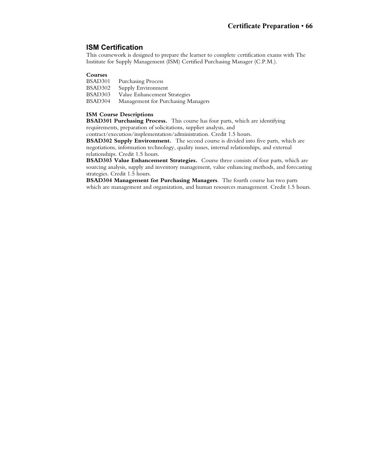### **ISM Certification**

This coursework is designed to prepare the learner to complete certification exams with The Institute for Supply Management (ISM) Certified Purchasing Manager (C.P.M.).

### **Courses**

- BSAD301 Purchasing Process<br>BSAD302 Supply Environment
- BSAD302 Supply Environment<br>BSAD303 Value Enhancement !
- Value Enhancement Strategies
- BSAD304 Management for Purchasing Managers

### **ISM Course Descriptions**

**BSAD301 Purchasing Process.** This course has four parts, which are identifying requirements, preparation of solicitations, supplier analysis, and

contract/execution/implementation/administration. Credit 1.5 hours.

**BSAD302 Supply Environment.** The second course is divided into five parts, which are negotiations, information technology, quality issues, internal relationships, and external relationships. Credit 1.5 hours.

**BSAD303 Value Enhancement Strategies.** Course three consists of four parts, which are sourcing analysis, supply and inventory management, value enhancing methods, and forecasting strategies. Credit 1.5 hours.

**BSAD304 Management for Purchasing Managers**. The fourth course has two parts which are management and organization, and human resources management. Credit 1.5 hours.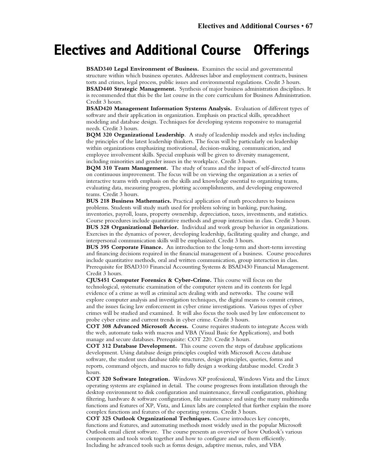# **Electives and Additional Course Offerings**

**BSAD340 Legal Environment of Business.** Examines the social and governmental structure within which business operates. Addresses labor and employment contracts, business torts and crimes, legal process, public issues and environmental regulations. Credit 3 hours. **BSAD440 Strategic Management.** Synthesis of major business administration disciplines. It is recommended that this be the last course in the core curriculum for Business Administration. Credit 3 hours.

**BSAD420 Management Information Systems Analysis.** Evaluation of different types of software and their application in organization. Emphasis on practical skills, spreadsheet modeling and database design. Techniques for developing systems responsive to managerial needs. Credit 3 hours.

**BQM 320 Organizational Leadership**. A study of leadership models and styles including the principles of the latest leadership thinkers. The focus will be particularly on leadership within organizations emphasizing motivational, decision-making, communication, and employee involvement skills. Special emphasis will be given to diversity management, including minorities and gender issues in the workplace. Credit 3 hours.

**BQM 310 Team Management.** The study of teams and the impact of self-directed teams on continuous improvement. The focus will be on viewing the organization as a series of interactive teams with emphasis on the skills and knowledge essential to organizing teams, evaluating data, measuring progress, plotting accomplishments, and developing empowered teams. Credit 3 hours.

**BUS 218 Business Mathematics.** Practical application of math procedures to business problems. Students will study math used for problem solving in banking, purchasing, inventories, payroll, loans, property ownership, depreciation, taxes, investments, and statistics. Course procedures include quantitative methods and group interaction in class. Credit 3 hours. **BUS 328 Organizational Behavior.** Individual and work group behavior in organizations. Exercises in the dynamics of power, developing leadership, facilitating quality and change, and interpersonal communication skills will be emphasized. Credit 3 hours.

**BUS 395 Corporate Finance.** An introduction to the long-term and short-term investing and financing decisions required in the financial management of a business. Course procedures include quantitative methods, oral and written communication, group interaction in class. Prerequisite for BSAD310 Financial Accounting Systems & BSAD430 Financial Management. Credit 3 hours.

**CJUS451 Computer Forensics & Cyber-Crime.** This course will focus on the technological, systematic examination of the computer system and its contents for legal evidence of a crime as well as criminal acts dealing with and networks. The course will explore computer analysis and investigation techniques, the digital means to commit crimes, and the issues facing law enforcement in cyber crime investigations. Various types of cyber crimes will be studied and examined. It will also focus the tools used by law enforcement to probe cyber crime and current trends in cyber crime. Credit 3 hours.

**COT 308 Advanced Microsoft Access.** Course requires students to integrate Access with the web, automate tasks with macros and VBA (Visual Basic for Applications), and both manage and secure databases. Prerequisite: COT 220. Credit 3 hours.

**COT 312 Database Development.** This course covers the steps of database applications development. Using database design principles coupled with Microsoft Access database software, the student uses database table structures, design principles, queries, forms and reports, command objects, and macros to fully design a working database model. Credit 3 hours.

**COT 320 Software Integration.** Windows XP professional, Windows Vista and the Linux operating systems are explained in detail. The course progresses from installation through the desktop environment to disk configuration and maintenance, firewall configuration, phishing filtering, hardware & software configuration, file maintenance and using the many multimedia functions and features of XP, Vista, and Linux labs are completed that further explain the more complex functions and features of the operating systems. Credit 3 hours.

**COT 325 Outlook Organizational Techniques.** Course introduces key concepts, functions and features, and automating methods most widely used in the popular Microsoft Outlook email client software. The course presents an overview of how Outlook's various components and tools work together and how to configure and use them efficiently. Including he advanced tools such as forms design, adaptive menus, rules, and VBA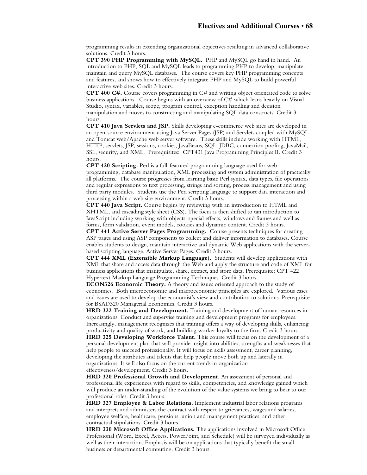programming results in extending organizational objectives resulting in advanced collaborative solutions. Credit 3 hours.

**CPT 390 PHP Programming with MySQL.** PHP and MySQL go hand in hand. An introduction to PHP, SQL and MySQL leads to programming PHP to develop, manipulate, maintain and query MySQL databases. The course covers key PHP programming concepts and features, and shows how to effectively integrate PHP and MySQL to build powerful interactive web sites. Credit 3 hours.

**CPT 400 C#.** Course covers programming in C# and writing object orientated code to solve business applications. Course begins with an overview of C# which leans heavily on Visual Studio, syntax, variables, scope, program control, exception handling and decision manipulation and moves to constructing and manipulating SQL data constructs. Credit 3 hours.

**CPT 410 Java Servlets and JSP.** Skills developing e-commerce web sites are developed in an open-source environment using Java Server Pages (JSP) and Servlets coupled with MySQL and Tomcat web/Apache web server software. These skills include working with HTML, HTTP, servlets, JSP, sessions, cookies, JavaBeans, SQL, JDBC, connection pooling, JavaMail, SSL, security, and XML. Prerequisites: CPT431 Java Programming Principles II. Credit 3 hours.

**CPT 420 Scripting.** Perl is a full-featured programming language used for web programming, database manipulation, XML processing and system administration of practically all platforms. The course progresses from learning basic Perl syntax, data types, file operations and regular expressions to text processing, strings and sorting, process management and using third party modules. Students use the Perl scripting language to support data interaction and processing within a web site environment. Credit 3 hours.

**CPT 440 Java Script.** Course begins by reviewing with an introduction to HTML and XHTML, and cascading style sheet (CSS). The focus is then shifted to tan introduction to JavaScript including working with objects, special effects, windows and frames and well as forms, form validation, event models, cookies and dynamic content. Credit 3 hours.

**CPT 441 Active Server Pages Programming.** Course presents techniques for creating ASP pages and using ASP components to collect and deliver information to databases. Course enables students to design, maintain interactive and dynamic Web applications with the serverbased scripting language, Active Server Pages. Credit 3 hours.

**CPT 444 XML (Extensible Markup Language).** Students will develop applications with XML that share and access data through the Web and apply the structure and code of XML for business applications that manipulate, share, extract, and store data. Prerequisite: CPT 422 Hypertext Markup Language Programming Techniques. Credit 3 hours.

**ECON326 Economic Theory.** A theory and issues oriented approach to the study of economics. Both microeconomic and macroeconomic principles are explored. Various cases and issues are used to develop the economist's view and contribution to solutions. Prerequisite for BSAD320 Managerial Economics. Credit 3 hours.

**HRD 322 Training and Development.** Training and development of human resources in organizations. Conduct and supervise training and development programs for employees. Increasingly, management recognizes that training offers a way of developing skills, enhancing productivity and quality of work, and building worker loyalty to the firm. Credit 3 hours.

**HRD 325 Developing Workforce Talent.** This course will focus on the development of a personal development plan that will provide insight into abilities, strengths and weaknesses that help people to succeed professionally. It will focus on skills assessment, career planning, developing the attributes and talents that help people move both up and laterally in organizations. It will also focus on the current trends in organization

effectiveness/development. Credit 3 hours.

**HRD 320 Professional Growth and Development**. An assessment of personal and professional life experiences with regard to skills, competencies, and knowledge gained which will produce an under-standing of the evolution of the value systems we bring to bear to our professional roles. Credit 3 hours.

**HRD 327 Employee & Labor Relations.** Implement industrial labor relations programs and interprets and administers the contract with respect to grievances, wages and salaries, employee welfare, healthcare, pensions, union and management practices, and other contractual stipulations. Credit 3 hours.

**HRD 330 Microsoft Office Applications.** The applications involved in Microsoft Office Professional (Word, Excel, Access, PowerPoint, and Schedule) will be surveyed individually as well as their interaction. Emphasis will be on applications that typically benefit the small business or departmental computing. Credit 3 hours.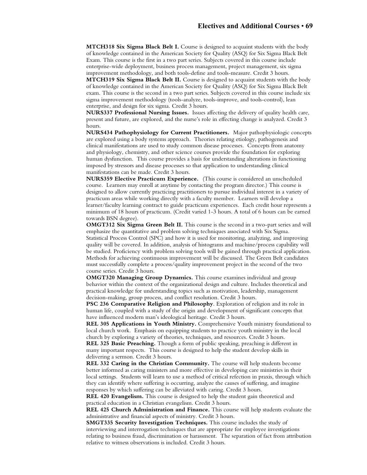**MTCH318 Six Sigma Black Belt I.** Course is designed to acquaint students with the body of knowledge contained in the American Society for Quality (ASQ) for Six Sigma Black Belt Exam. This course is the first in a two part series. Subjects covered in this course include enterprise-wide deployment, business process management, project management, six sigma improvement methodology, and both tools-define and tools-measure. Credit 3 hours.

**MTCH319 Six Sigma Black Belt II.** Course is designed to acquaint students with the body of knowledge contained in the American Society for Quality (ASQ) for Six Sigma Black Belt exam. This course is the second in a two part series. Subjects covered in this course include six sigma improvement methodology (tools-analyze, tools-improve, and tools-control), lean enterprise, and design for six sigma. Credit 3 hours.

**NURS337 Professional Nursing Issues.** Issues affecting the delivery of quality health care, present and future, are explored, and the nurse's role in effecting change is analyzed. Credit 3 hours.

**NURS434 Pathophysiology for Current Practitioners.** Major pathophysiologic concepts are explored using a body systems approach. Theories relating etiology, pathogenesis and clinical manifestations are used to study common disease processes. Concepts from anatomy and physiology, chemistry, and other science courses provide the foundation for exploring human dysfunction. This course provides a basis for understanding alterations in functioning imposed by stressors and disease processes so that application to understanding clinical manifestations can be made. Credit 3 hours.

**NURS359 Elective Practicum Experience.** (This course is considered an unscheduled course. Learners may enroll at anytime by contacting the program director.) This course is designed to allow currently practicing practitioners to pursue individual interest in a variety of practicum areas while working directly with a faculty member. Learners will develop a learner/faculty learning contract to guide practicum experiences. Each credit hour represents a minimum of 18 hours of practicum. (Credit varied 1-3 hours. A total of 6 hours can be earned towards BSN degree).

**OMGT312 Six Sigma Green Belt II.** This course is the second in a two-part series and will emphasize the quantitative and problem solving techniques associated with Six Sigma. Statistical Process Control (SPC) and how it is used for monitoring, analyzing, and improving quality will be covered. In addition, analysis of histograms and machine/process capability will be studied. Proficiency with problem solving tools will be gained through practical application. Methods for achieving continuous improvement will be discussed. The Green Belt candidates must successfully complete a process/quality improvement project in the second of the two course series. Credit 3 hours.

**OMGT320 Managing Group Dynamics.** This course examines individual and group behavior within the context of the organizational design and culture. Includes theoretical and practical knowledge for understanding topics such as motivation, leadership, management decision-making, group process, and conflict resolution. Credit 3 hours.

**PSC 236 Comparative Religion and Philosophy**. Exploration of religion and its role in human life, coupled with a study of the origin and development of significant concepts that have influenced modern man's ideological heritage. Credit 3 hours.

**REL 305 Applications in Youth Ministry.** Comprehensive Youth ministry foundational to local church work. Emphasis on equipping students to practice youth ministry in the local church by exploring a variety of theories, techniques, and resources. Credit 3 hours.

**REL 325 Basic Preaching.** Though a form of public speaking, preaching is different in many important respects. This course is designed to help the student develop skills in delivering a sermon. Credit 3 hours.

**REL 332 Caring in the Christian Community.** The course will help students become better informed as caring ministers and more effective in developing care ministries in their local settings. Students will learn to use a method of critical refection in praxis, through which they can identify where suffering is occurring, analyze the causes of suffering, and imagine responses by which suffering can be alleviated with caring. Credit 3 hours.

**REL 420 Evangelism.** This course is designed to help the student gain theoretical and practical education in a Christian evangelism. Credit 3 hours.

**REL 425 Church Administration and Finance.** This course will help students evaluate the administrative and financial aspects of ministry. Credit 3 hours.

**SMGT335 Security Investigation Techniques.** This course includes the study of interviewing and interrogation techniques that are appropriate for employee investigations relating to business fraud, discrimination or harassment. The separation of fact from attribution relative to witness observations is included. Credit 3 hours.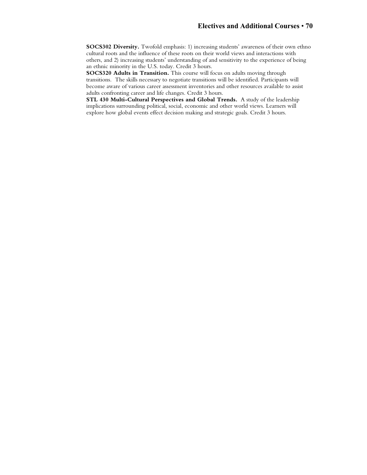**SOCS302 Diversity.** Twofold emphasis: 1) increasing students' awareness of their own ethno cultural roots and the influence of these roots on their world views and interactions with others, and 2) increasing students' understanding of and sensitivity to the experience of being an ethnic minority in the U.S. today. Credit 3 hours.

**SOCS320 Adults in Transition.** This course will focus on adults moving through transitions. The skills necessary to negotiate transitions will be identified. Participants will become aware of various career assessment inventories and other resources available to assist adults confronting career and life changes. Credit 3 hours.

**STL 430 Multi-Cultural Perspectives and Global Trends.** A study of the leadership implications surrounding political, social, economic and other world views. Learners will explore how global events effect decision making and strategic goals. Credit 3 hours.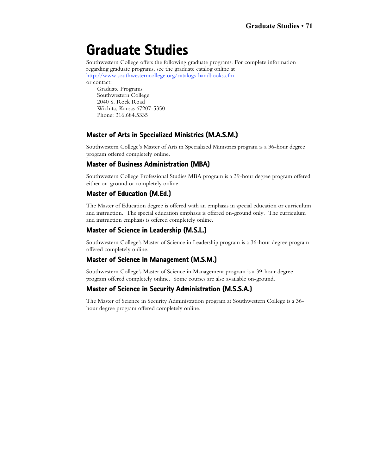# **Graduate Studies**

Southwestern College offers the following graduate programs. For complete information regarding graduate programs, see the graduate catalog online at http://www.southwesterncollege.org/catalogs-handbooks.cfm

or contact:

Graduate Programs Southwestern College 2040 S. Rock Road Wichita, Kansas 67207-5350 Phone: 316.684.5335

### **Master of Arts in Specialized Ministries (M.A.S.M.)**

Southwestern College's Master of Arts in Specialized Ministries program is a 36-hour degree program offered completely online.

### **Master of Business Administration (MBA)**

Southwestern College Professional Studies MBA program is a 39-hour degree program offered either on-ground or completely online.

### **Master of Education (M.Ed.)**

The Master of Education degree is offered with an emphasis in special education or curriculum and instruction. The special education emphasis is offered on-ground only. The curriculum and instruction emphasis is offered completely online.

## **Master of Science in Leadership (M.S.L.)**

Southwestern College's Master of Science in Leadership program is a 36-hour degree program offered completely online.

## **Master of Science in Management (M.S.M.)**

Southwestern College's Master of Science in Management program is a 39-hour degree program offered completely online. Some courses are also available on-ground.

## **Master of Science in Security Administration (M.S.S.A.)**

The Master of Science in Security Administration program at Southwestern College is a 36 hour degree program offered completely online.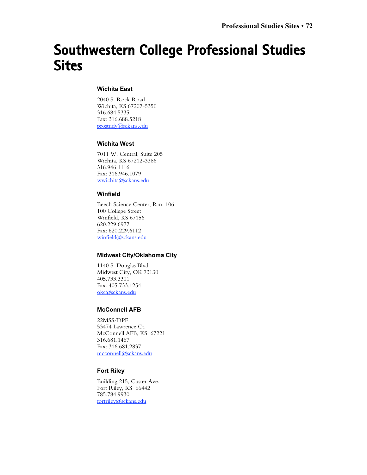# **Southwestern College Professional Studies Sites**

### **Wichita East**

2040 S. Rock Road Wichita, KS 67207-5350 316.684.5335 Fax: 316.688.5218 prostudy@sckans.edu

### **Wichita West**

7011 W. Central, Suite 205 Wichita, KS 67212-3386 316.946.1116 Fax: 316.946.1079 wwichita@sckans.edu

### **Winfield**

Beech Science Center, Rm. 106 100 College Street Winfield, KS 67156 620.229.6977 Fax: 620.229.6112 winfield@sckans.edu

### **Midwest City/Oklahoma City**

1140 S. Douglas Blvd. Midwest City, OK 73130 405.733.3301 Fax: 405.733.1254 okc@sckans.edu

### **McConnell AFB**

22MSS/DPE 53474 Lawrence Ct. McConnell AFB, KS 67221 316.681.1467 Fax: 316.681.2837 mcconnell@sckans.edu

### **Fort Riley**

Building 215, Custer Ave. Fort Riley, KS 66442 785.784.9930 fortriley@sckans.edu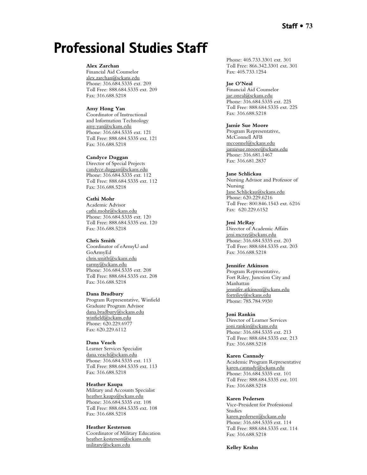# **Professional Studies Staff**

## **Alex Zarchan**

Financial Aid Counselor alex.zarchan@sckans.edu Phone: 316.684.5335 ext. 209 Toll Free: 888.684.5335 ext. 209 Fax: 316.688.5218

### **Amy Hong Yan**

Coordinator of Instructional and Information Technology amy.yan@sckans.edu Phone: 316.684.5335 ext. 121 Toll Free: 888.684.5335 ext. 121 Fax: 316.688.5218

## **Candyce Duggan**

Director of Special Projects candyce.duggan@sckans.edu Phone: 316.684.5335 ext. 112 Toll Free: 888.684.5335 ext. 112 Fax: 316.688.5218

#### **Cathi Mohr**

Academic Advisor cathi.mohr@sckans.edu Phone: 316.684.5335 ext. 120 Toll Free: 888.684.5335 ext. 120 Fax: 316.688.5218

### **Chris Smith**

Coordinator of eArmyU and GoArmyEd chris.smith@sckans.edu earmy@sckans.edu Phone: 316.684.5335 ext. 208 Toll Free: 888.684.5335 ext. 208 Fax: 316.688.5218

#### **Dana Bradbury**

Program Representative, Winfield Graduate Program Advisor dana.bradbury@sckans.edu winfield@sckans.edu Phone: 620.229.6977 Fax: 620.229.6112

#### **Dana Veach**

Learner Services Specialist dana.veach@sckans.edu Phone: 316.684.5335 ext. 113 Toll Free: 888.684.5335 ext. 113 Fax: 316.688.5218

#### **Heather Kaupa**

Military and Accounts Specialist heather.kaupa@sckans.edu Phone: 316.684.5335 ext. 108 Toll Free: 888.684.5335 ext. 108 Fax: 316.688.5218

#### **Heather Kesterson**

Coordinator of Military Education heather.kesterson@sckans.edu military@sckans.edu

Phone: 405.733.3301 ext. 301 Toll Free: 866.342.3301 ext. 301 Fax: 405.733.1254

#### **Jae O'Neal**

Financial Aid Counselor jae.oneal@sckans.edu Phone: 316.684.5335 ext. 225 Toll Free: 888.684.5335 ext. 225 Fax: 316.688.5218

## **Jamie Sue Moore**

Program Representative, McConnell AFB mcconnel@sckans.edu jamiesue.moore@sckans.edu Phone: 316.681.1467 Fax: 316.681.2837

## **Jane Schlickau**

Nursing Advisor and Professor of Nursing Jane.Schlickau@sckans.edu Phone: 620.229.6216 Toll Free: 800.846.1543 ext. 6216 Fax: 620.229.6152

#### **Jeni McRay**

Director of Academic Affairs jeni.mcray@sckans.edu Phone: 316.684.5335 ext. 203 Toll Free: 888.684.5335 ext. 203 Fax: 316.688.5218

#### **Jennifer Atkinson**

Program Representative, Fort Riley, Junction City and Manhattan jennifer.atkinson@sckans.edu fortriley@sckans.edu Phone: 785.784.9930

#### **Joni Rankin**

Director of Learner Services joni.rankin@sckans.edu Phone: 316.684.5335 ext. 213 Toll Free: 888.684.5335 ext. 213 Fax: 316.688.5218

#### **Karen Cannady**

Academic Program Representative karen.cannady@sckans.edu Phone: 316.684.5335 ext. 101 Toll Free: 888.684.5335 ext. 101 Fax: 316.688.5218

#### **Karen Pedersen**

Vice-President for Professional Studies karen.pedersen@sckans.edu Phone: 316.684.5335 ext. 114 Toll Free: 888.684.5335 ext. 114 Fax: 316.688.5218

**Kelley Krahn**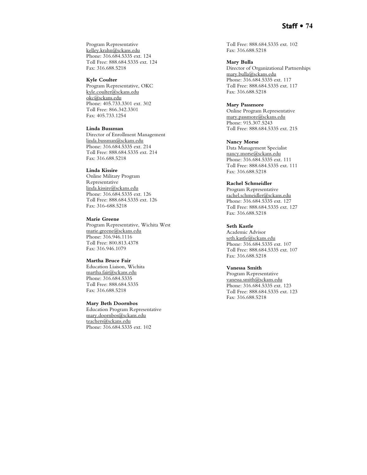## **Staff • 74**

Program Representative kelley.krahn@sckans.edu Phone: 316.684.5335 ext. 124 Toll Free: 888.684.5335 ext. 124 Fax: 316.688.5218

#### **Kyle Coulter**

Program Representative, OKC kyle.coulter@sckans.edu okc@sckans.edu Phone: 405.733.3301 ext. 302 Toll Free: 866.342.3301 Fax: 405.733.1254

### **Linda Bussman**

Director of Enrollment Management linda.bussman@sckans.edu Phone: 316.684.5335 ext. 214 Toll Free: 888.684.5335 ext. 214 Fax: 316.688.5218

## **Linda Kissire**

Online Military Program Representative linda.kissire@sckans.edu Phone: 316.684.5335 ext. 126 Toll Free: 888.684.5335 ext. 126 Fax: 316-688.5218

#### **Marie Greene**

Program Representative, Wichita West marie.greene@sckans.edu Phone: 316.946.1116 Toll Free: 800.813.4378 Fax: 316.946.1079

#### **Martha Bruce Fair**

Education Liaison, Wichita martha.fair@sckans.edu Phone: 316.684.5335 Toll Free: 888.684.5335 Fax: 316.688.5218

## **Mary Beth Doornbos**

Education Program Representative mary.doornbos@sckans.edu teachers@sckans.edu Phone: 316.684.5335 ext. 102

Toll Free: 888.684.5335 ext. 102 Fax: 316.688.5218

## **Mary Bulla**

Director of Organizational Partnerships mary.bulla@sckans.edu Phone: 316.684.5335 ext. 117 Toll Free: 888.684.5335 ext. 117 Fax: 316.688.5218

## **Mary Passmore**

Online Program Representative mary.passmore@sckans.edu Phone: 915.307.5243 Toll Free: 888.684.5335 ext. 215

## **Nancy Morse**

Data Management Specialist nancy.morse@sckans.edu Phone: 316.684.5335 ext. 111 Toll Free: 888.684.5335 ext. 111 Fax: 316.688.5218

## **Rachel Schmeidler**

Program Representative rachel.schmeidler@sckans.edu Phone: 316.684.5335 ext. 127 Toll Free: 888.684.5335 ext. 127 Fax: 316.688.5218

#### **Seth Kastle**

Academic Advisor seth.kastle@sckans.edu Phone: 316.684.5335 ext. 107 Toll Free: 888.684.5335 ext. 107 Fax: 316.688.5218

## **Vanessa Smith**

Program Representative vanessa.smith@sckans.edu Phone: 316.684.5335 ext. 123 Toll Free: 888.684.5335 ext. 123 Fax: 316.688.5218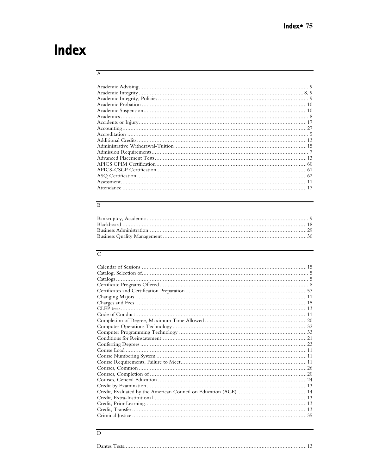# Index

## $\overline{A}$

## $\, {\bf B}$

# $\overline{\text{C}}$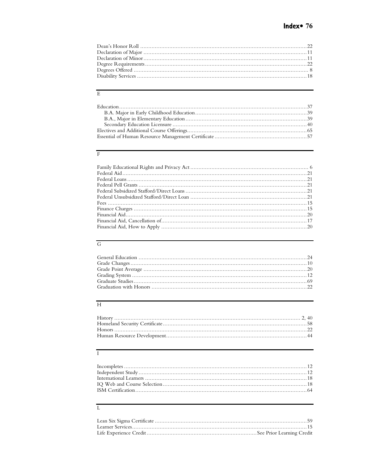# $\rm{E}$

# $\overline{\rm F}$

# ${\rm G}$

## $\overline{\rm H}$

# $\overline{I}$

# $\overline{\mathbf{L}}$